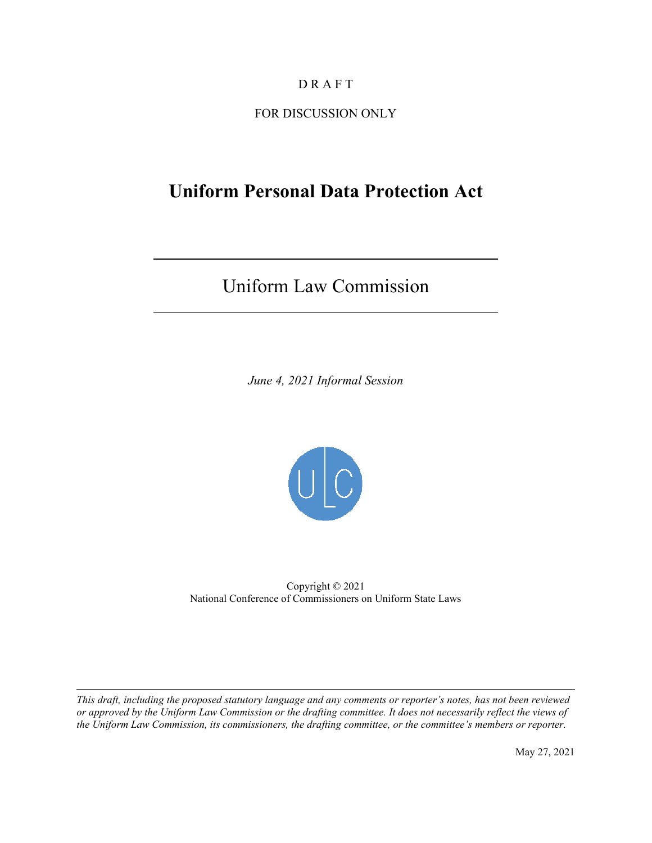# D R A F T

FOR DISCUSSION ONLY

# **Uniform Personal Data Protection Act**

# Uniform Law Commission

 $\overline{a}$ 

 $\overline{\phantom{a}}$ 

l

*June 4, 2021 Informal Session* 



Copyright © 2021 National Conference of Commissioners on Uniform State Laws

*This draft, including the proposed statutory language and any comments or reporter's notes, has not been reviewed or approved by the Uniform Law Commission or the drafting committee. It does not necessarily reflect the views of the Uniform Law Commission, its commissioners, the drafting committee, or the committee's members or reporter.* 

May 27, 2021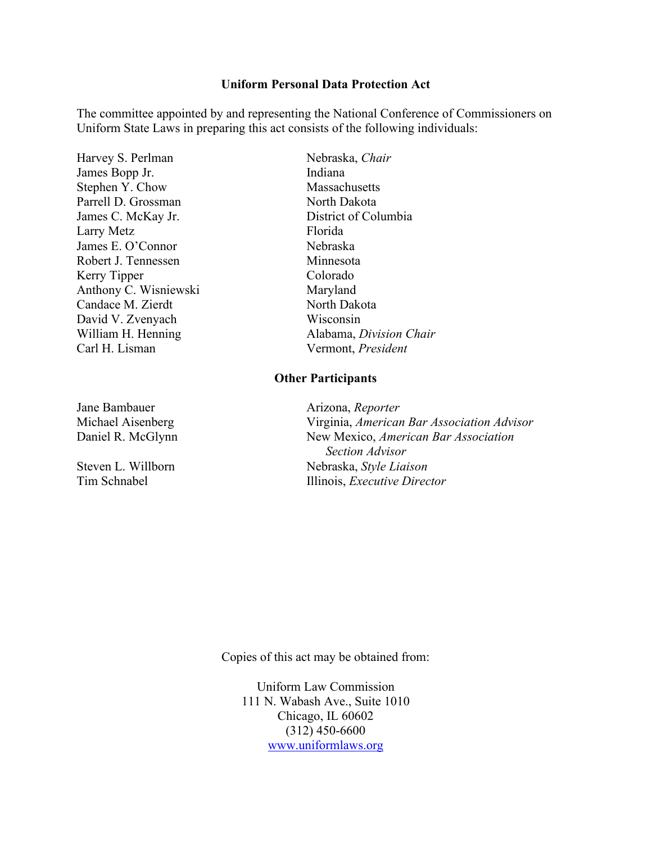#### **Uniform Personal Data Protection Act**

The committee appointed by and representing the National Conference of Commissioners on Uniform State Laws in preparing this act consists of the following individuals:

*Harvey S. Perlman* Nebraska, *Chair* James Bopp Jr. Indiana Stephen Y. Chow Massachusetts Parrell D. Grossman North Dakota James C. McKay Jr. District of Columbia Larry Metz Florida James E. O'Connor Nebraska Robert J. Tennessen Minnesota Kerry Tipper Colorado Anthony C. Wisniewski Maryland Candace M. Zierdt North Dakota David V. Zvenyach Wisconsin **William H. Henning** Carl H. Lisman

**Jane Bambauer** 

**Steven L. Willborn Tim Schnabel** 

Alabama, *Division Chair* Vermont, President

#### **Other Participants**

Arizona, *Reporter* Michael Aisenberg Virginia, *American Bar Association Advisor*  Daniel R. McGlynn New Mexico, *American Bar Association Section Advisor*  Nebraska, *Style Liaison* Illinois, *Executive Director* 

Copies of this act may be obtained from:

Uniform Law Commission 111 N. Wabash Ave., Suite 1010 Chicago, IL 60602 (312) 450-6600 [www.uniformlaws.org](http://www.uniformlaws.org/)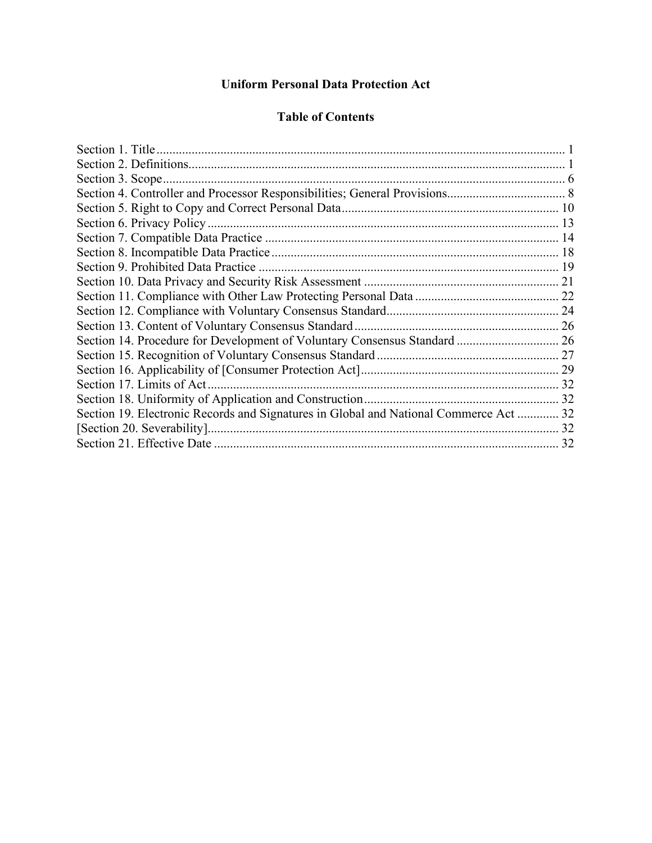# **Uniform Personal Data Protection Act**

## **Table of Contents**

| Section 19. Electronic Records and Signatures in Global and National Commerce Act  32 |  |
|---------------------------------------------------------------------------------------|--|
|                                                                                       |  |
|                                                                                       |  |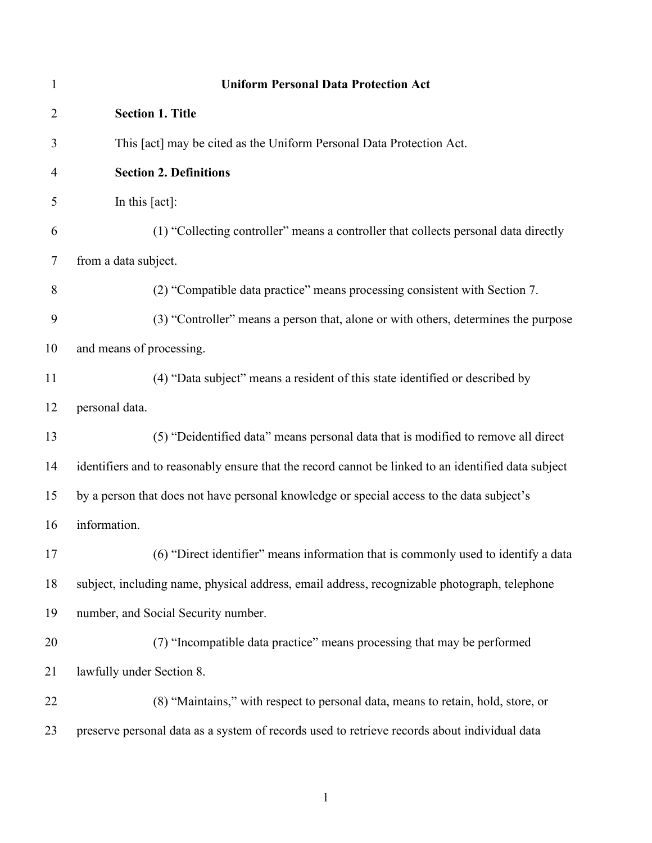<span id="page-3-1"></span><span id="page-3-0"></span>

| $\mathbf{1}$ | <b>Uniform Personal Data Protection Act</b>                                                         |
|--------------|-----------------------------------------------------------------------------------------------------|
| 2            | <b>Section 1. Title</b>                                                                             |
| 3            | This [act] may be cited as the Uniform Personal Data Protection Act.                                |
| 4            | <b>Section 2. Definitions</b>                                                                       |
| 5            | In this $[act]$ :                                                                                   |
| 6            | (1) "Collecting controller" means a controller that collects personal data directly                 |
| 7            | from a data subject.                                                                                |
| 8            | (2) "Compatible data practice" means processing consistent with Section 7.                          |
| 9            | (3) "Controller" means a person that, alone or with others, determines the purpose                  |
| 10           | and means of processing.                                                                            |
| 11           | (4) "Data subject" means a resident of this state identified or described by                        |
| 12           | personal data.                                                                                      |
| 13           | (5) "Deidentified data" means personal data that is modified to remove all direct                   |
| 14           | identifiers and to reasonably ensure that the record cannot be linked to an identified data subject |
| 15           | by a person that does not have personal knowledge or special access to the data subject's           |
| 16           | information.                                                                                        |
| 17           | (6) "Direct identifier" means information that is commonly used to identify a data                  |
| 18           | subject, including name, physical address, email address, recognizable photograph, telephone        |
| 19           | number, and Social Security number.                                                                 |
| 20           | (7) "Incompatible data practice" means processing that may be performed                             |
| 21           | lawfully under Section 8.                                                                           |
| 22           | (8) "Maintains," with respect to personal data, means to retain, hold, store, or                    |
| 23           | preserve personal data as a system of records used to retrieve records about individual data        |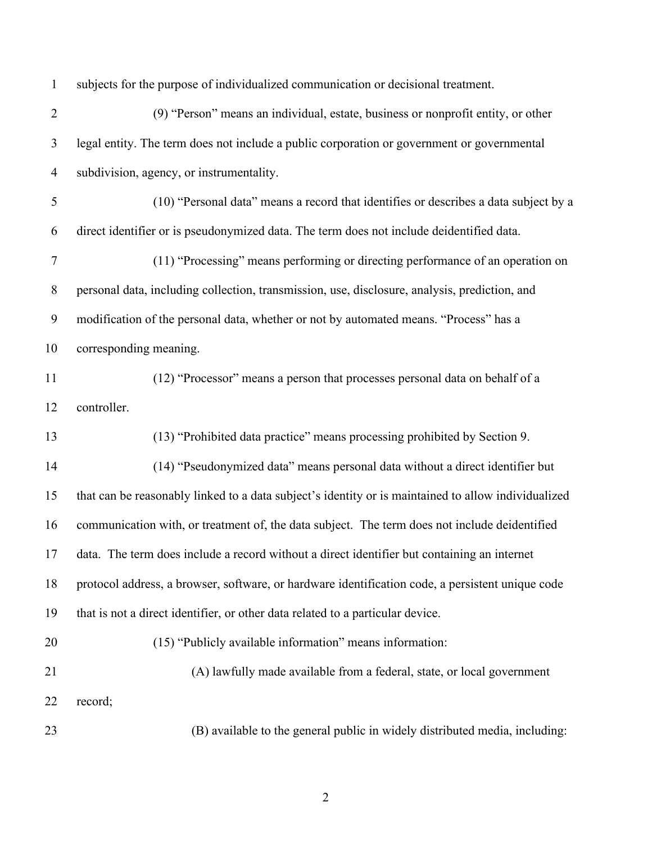| $\mathbf{1}$   | subjects for the purpose of individualized communication or decisional treatment.                   |
|----------------|-----------------------------------------------------------------------------------------------------|
| $\overline{2}$ | (9) "Person" means an individual, estate, business or nonprofit entity, or other                    |
| 3              | legal entity. The term does not include a public corporation or government or governmental          |
| $\overline{4}$ | subdivision, agency, or instrumentality.                                                            |
| 5              | (10) "Personal data" means a record that identifies or describes a data subject by a                |
| 6              | direct identifier or is pseudonymized data. The term does not include deidentified data.            |
| $\tau$         | (11) "Processing" means performing or directing performance of an operation on                      |
| 8              | personal data, including collection, transmission, use, disclosure, analysis, prediction, and       |
| 9              | modification of the personal data, whether or not by automated means. "Process" has a               |
| 10             | corresponding meaning.                                                                              |
| 11             | (12) "Processor" means a person that processes personal data on behalf of a                         |
| 12             | controller.                                                                                         |
| 13             | (13) "Prohibited data practice" means processing prohibited by Section 9.                           |
| 14             | (14) "Pseudonymized data" means personal data without a direct identifier but                       |
| 15             | that can be reasonably linked to a data subject's identity or is maintained to allow individualized |
| 16             | communication with, or treatment of, the data subject. The term does not include deidentified       |
| 17             | data. The term does include a record without a direct identifier but containing an internet         |
| 18             | protocol address, a browser, software, or hardware identification code, a persistent unique code    |
| 19             | that is not a direct identifier, or other data related to a particular device.                      |
| 20             | (15) "Publicly available information" means information:                                            |
| 21             | (A) lawfully made available from a federal, state, or local government                              |
| 22             | record;                                                                                             |
| 23             | (B) available to the general public in widely distributed media, including:                         |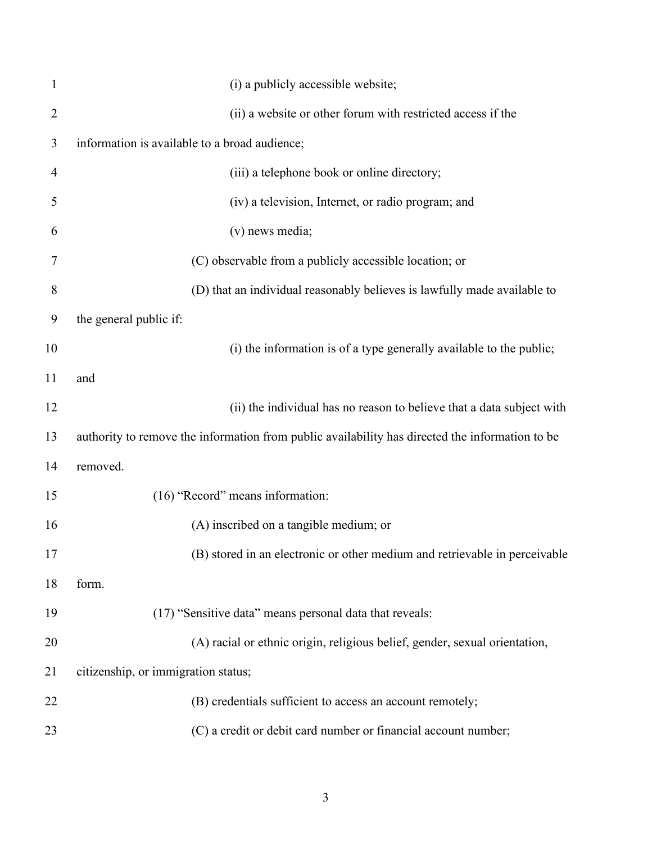| $\mathbf{1}$   | (i) a publicly accessible website;                                                              |
|----------------|-------------------------------------------------------------------------------------------------|
| $\overline{2}$ | (ii) a website or other forum with restricted access if the                                     |
| 3              | information is available to a broad audience;                                                   |
| 4              | (iii) a telephone book or online directory;                                                     |
| 5              | (iv) a television, Internet, or radio program; and                                              |
| 6              | (v) news media;                                                                                 |
| 7              | (C) observable from a publicly accessible location; or                                          |
| 8              | (D) that an individual reasonably believes is lawfully made available to                        |
| 9              | the general public if:                                                                          |
| 10             | (i) the information is of a type generally available to the public;                             |
| 11             | and                                                                                             |
| 12             | (ii) the individual has no reason to believe that a data subject with                           |
| 13             | authority to remove the information from public availability has directed the information to be |
| 14             | removed.                                                                                        |
| 15             | (16) "Record" means information:                                                                |
| 16             | (A) inscribed on a tangible medium; or                                                          |
| 17             | (B) stored in an electronic or other medium and retrievable in perceivable                      |
| 18             | form.                                                                                           |
| 19             | (17) "Sensitive data" means personal data that reveals:                                         |
| 20             | (A) racial or ethnic origin, religious belief, gender, sexual orientation,                      |
| 21             | citizenship, or immigration status;                                                             |
| 22             | (B) credentials sufficient to access an account remotely;                                       |
| 23             | (C) a credit or debit card number or financial account number;                                  |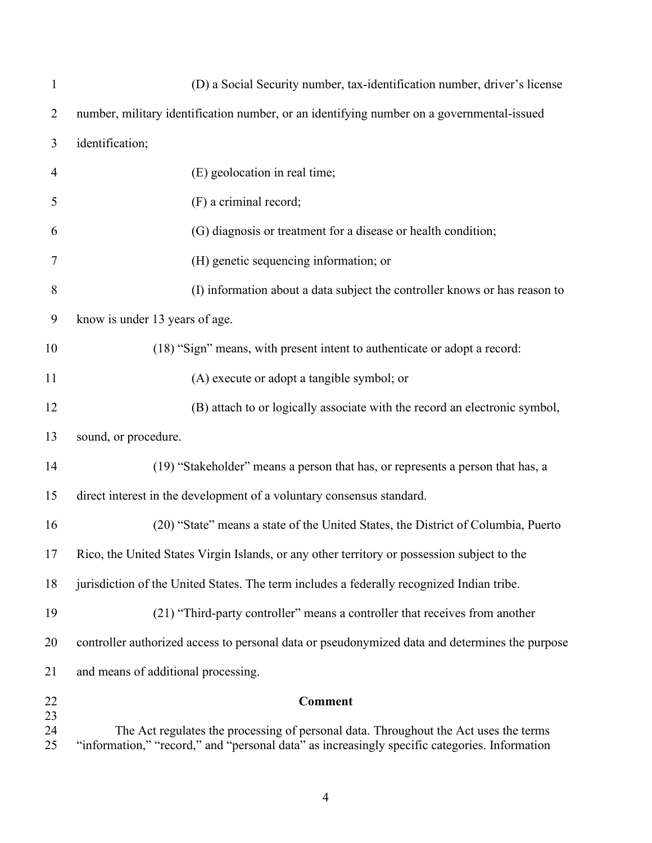| $\mathbf{1}$   | (D) a Social Security number, tax-identification number, driver's license                                                                                                             |
|----------------|---------------------------------------------------------------------------------------------------------------------------------------------------------------------------------------|
| $\overline{2}$ | number, military identification number, or an identifying number on a governmental-issued                                                                                             |
| 3              | identification;                                                                                                                                                                       |
| $\overline{4}$ | (E) geolocation in real time;                                                                                                                                                         |
| 5              | (F) a criminal record;                                                                                                                                                                |
| 6              | (G) diagnosis or treatment for a disease or health condition;                                                                                                                         |
| 7              | (H) genetic sequencing information; or                                                                                                                                                |
| 8              | (I) information about a data subject the controller knows or has reason to                                                                                                            |
| 9              | know is under 13 years of age.                                                                                                                                                        |
| 10             | (18) "Sign" means, with present intent to authenticate or adopt a record:                                                                                                             |
| 11             | (A) execute or adopt a tangible symbol; or                                                                                                                                            |
| 12             | (B) attach to or logically associate with the record an electronic symbol,                                                                                                            |
| 13             | sound, or procedure.                                                                                                                                                                  |
| 14             | (19) "Stakeholder" means a person that has, or represents a person that has, a                                                                                                        |
| 15             | direct interest in the development of a voluntary consensus standard.                                                                                                                 |
| 16             | (20) "State" means a state of the United States, the District of Columbia, Puerto                                                                                                     |
| 17             | Rico, the United States Virgin Islands, or any other territory or possession subject to the                                                                                           |
| 18             | jurisdiction of the United States. The term includes a federally recognized Indian tribe.                                                                                             |
| 19             | (21) "Third-party controller" means a controller that receives from another                                                                                                           |
| 20             | controller authorized access to personal data or pseudonymized data and determines the purpose                                                                                        |
| 21             | and means of additional processing.                                                                                                                                                   |
| 22             | <b>Comment</b>                                                                                                                                                                        |
| 23<br>24<br>25 | The Act regulates the processing of personal data. Throughout the Act uses the terms<br>"information," "record," and "personal data" as increasingly specific categories. Information |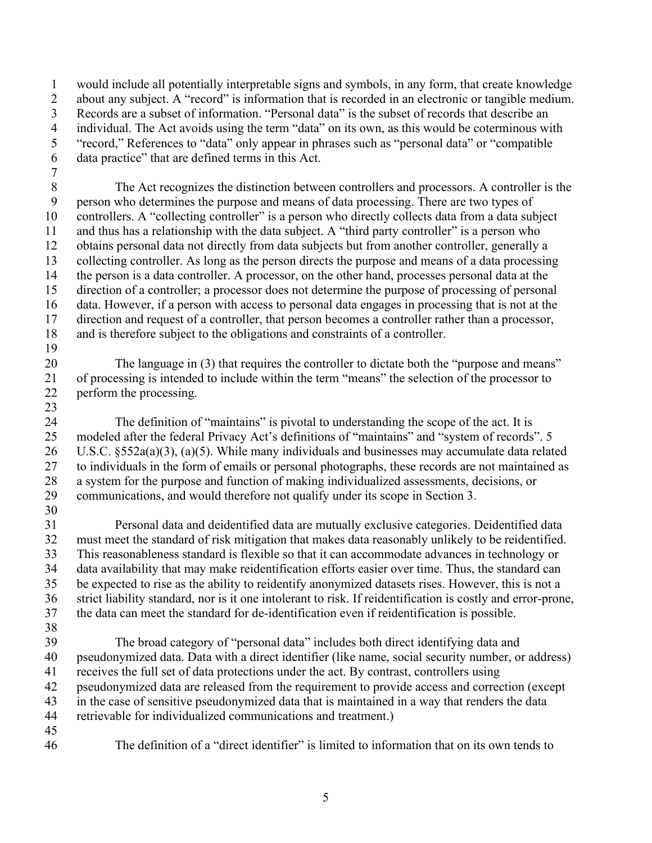1 2 3 4 5 6 would include all potentially interpretable signs and symbols, in any form, that create knowledge about any subject. A "record" is information that is recorded in an electronic or tangible medium. Records are a subset of information. "Personal data" is the subset of records that describe an individual. The Act avoids using the term "data" on its own, as this would be coterminous with "record," References to "data" only appear in phrases such as "personal data" or "compatible data practice" that are defined terms in this Act.

- direction of a controller; a processor does not determine the purpose of processing of personal 8 9 10 11 12 13 14 15 16 17 18 19 The Act recognizes the distinction between controllers and processors. A controller is the person who determines the purpose and means of data processing. There are two types of controllers. A "collecting controller" is a person who directly collects data from a data subject and thus has a relationship with the data subject. A "third party controller" is a person who obtains personal data not directly from data subjects but from another controller, generally a collecting controller. As long as the person directs the purpose and means of a data processing the person is a data controller. A processor, on the other hand, processes personal data at the data. However, if a person with access to personal data engages in processing that is not at the direction and request of a controller, that person becomes a controller rather than a processor, and is therefore subject to the obligations and constraints of a controller.
- 20 21 22 The language in (3) that requires the controller to dictate both the "purpose and means" of processing is intended to include within the term "means" the selection of the processor to perform the processing.
- to individuals in the form of emails or personal photographs, these records are not maintained as 24 25 26 27 28 29 30 The definition of "maintains" is pivotal to understanding the scope of the act. It is modeled after the federal Privacy Act's definitions of "maintains" and "system of records". 5 U.S.C. §552a(a)(3), (a)(5). While many individuals and businesses may accumulate data related a system for the purpose and function of making individualized assessments, decisions, or communications, and would therefore not qualify under its scope in Section 3.
- 31 32 33 34 35 36 37 38 Personal data and deidentified data are mutually exclusive categories. Deidentified data must meet the standard of risk mitigation that makes data reasonably unlikely to be reidentified. This reasonableness standard is flexible so that it can accommodate advances in technology or data availability that may make reidentification efforts easier over time. Thus, the standard can be expected to rise as the ability to reidentify anonymized datasets rises. However, this is not a strict liability standard, nor is it one intolerant to risk. If reidentification is costly and error-prone, the data can meet the standard for de-identification even if reidentification is possible.
- retrievable for individualized communications and treatment.) 39 40 41 42 43 44 45 The broad category of "personal data" includes both direct identifying data and pseudonymized data. Data with a direct identifier (like name, social security number, or address) receives the full set of data protections under the act. By contrast, controllers using pseudonymized data are released from the requirement to provide access and correction (except in the case of sensitive pseudonymized data that is maintained in a way that renders the data
- 46

7

23

The definition of a "direct identifier" is limited to information that on its own tends to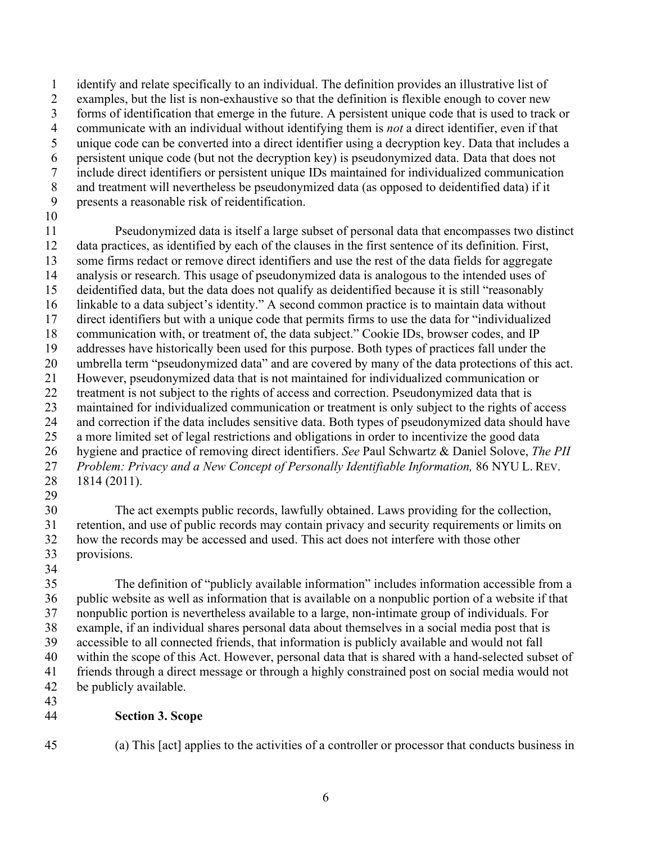1 identify and relate specifically to an individual. The definition provides an illustrative list of

2 examples, but the list is non-exhaustive so that the definition is flexible enough to cover new

3 forms of identification that emerge in the future. A persistent unique code that is used to track or

5 4 communicate with an individual without identifying them is *not* a direct identifier, even if that unique code can be converted into a direct identifier using a decryption key. Data that includes a

6 persistent unique code (but not the decryption key) is pseudonymized data. Data that does not

- 7 include direct identifiers or persistent unique IDs maintained for individualized communication
- 8 and treatment will nevertheless be pseudonymized data (as opposed to deidentified data) if it
- 9 presents a reasonable risk of reidentification.
- 10

 27 *Problem: Privacy and a New Concept of Personally Identifiable Information,* 86 NYU L. REV. 15 20 25 11 Pseudonymized data is itself a large subset of personal data that encompasses two distinct 12 data practices, as identified by each of the clauses in the first sentence of its definition. First, 13 some firms redact or remove direct identifiers and use the rest of the data fields for aggregate 14 analysis or research. This usage of pseudonymized data is analogous to the intended uses of deidentified data, but the data does not qualify as deidentified because it is still "reasonably 16 linkable to a data subject's identity." A second common practice is to maintain data without 17 direct identifiers but with a unique code that permits firms to use the data for "individualized 18 communication with, or treatment of, the data subject." Cookie IDs, browser codes, and IP 19 addresses have historically been used for this purpose. Both types of practices fall under the umbrella term "pseudonymized data" and are covered by many of the data protections of this act. 21 However, pseudonymized data that is not maintained for individualized communication or 22 treatment is not subject to the rights of access and correction. Pseudonymized data that is 23 maintained for individualized communication or treatment is only subject to the rights of access 24 and correction if the data includes sensitive data. Both types of pseudonymized data should have a more limited set of legal restrictions and obligations in order to incentivize the good data 26 hygiene and practice of removing direct identifiers. *See* Paul Schwartz & Daniel Solove, *The PII*  28 1814 (2011).

29

30 The act exempts public records, lawfully obtained. Laws providing for the collection, 31 retention, and use of public records may contain privacy and security requirements or limits on 32 how the records may be accessed and used. This act does not interfere with those other 33 provisions.

34

35 40 The definition of "publicly available information" includes information accessible from a 36 public website as well as information that is available on a nonpublic portion of a website if that 37 nonpublic portion is nevertheless available to a large, non-intimate group of individuals. For 38 example, if an individual shares personal data about themselves in a social media post that is 39 accessible to all connected friends, that information is publicly available and would not fall within the scope of this Act. However, personal data that is shared with a hand-selected subset of 41 friends through a direct message or through a highly constrained post on social media would not 42 be publicly available.

# 44 **Section 3. Scope**

45

43

<span id="page-8-0"></span>(a) This [act] applies to the activities of a controller or processor that conducts business in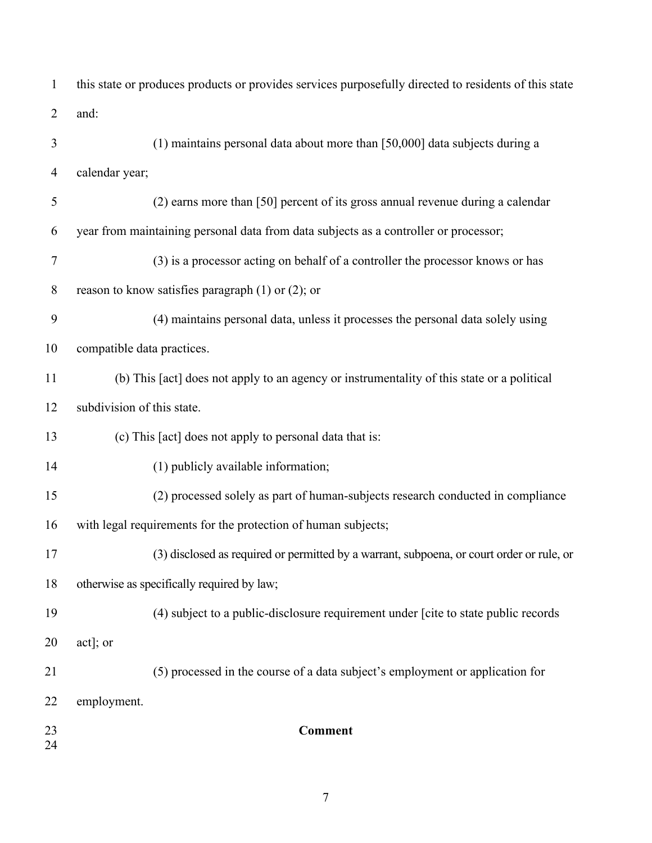| $\mathbf{1}$   | this state or produces products or provides services purposefully directed to residents of this state |
|----------------|-------------------------------------------------------------------------------------------------------|
| $\overline{2}$ | and:                                                                                                  |
| 3              | $(1)$ maintains personal data about more than [50,000] data subjects during a                         |
| $\overline{4}$ | calendar year;                                                                                        |
| 5              | (2) earns more than [50] percent of its gross annual revenue during a calendar                        |
| 6              | year from maintaining personal data from data subjects as a controller or processor;                  |
| 7              | (3) is a processor acting on behalf of a controller the processor knows or has                        |
| 8              | reason to know satisfies paragraph $(1)$ or $(2)$ ; or                                                |
| 9              | (4) maintains personal data, unless it processes the personal data solely using                       |
| 10             | compatible data practices.                                                                            |
| 11             | (b) This [act] does not apply to an agency or instrumentality of this state or a political            |
| 12             | subdivision of this state.                                                                            |
| 13             | (c) This [act] does not apply to personal data that is:                                               |
| 14             | (1) publicly available information;                                                                   |
| 15             | (2) processed solely as part of human-subjects research conducted in compliance                       |
| 16             | with legal requirements for the protection of human subjects;                                         |
| 17             | (3) disclosed as required or permitted by a warrant, subpoena, or court order or rule, or             |
| 18             | otherwise as specifically required by law;                                                            |
| 19             | (4) subject to a public-disclosure requirement under [cite to state public records                    |
| 20             | act]; or                                                                                              |
| 21             | (5) processed in the course of a data subject's employment or application for                         |
| 22             | employment.                                                                                           |
| 23<br>24       | <b>Comment</b>                                                                                        |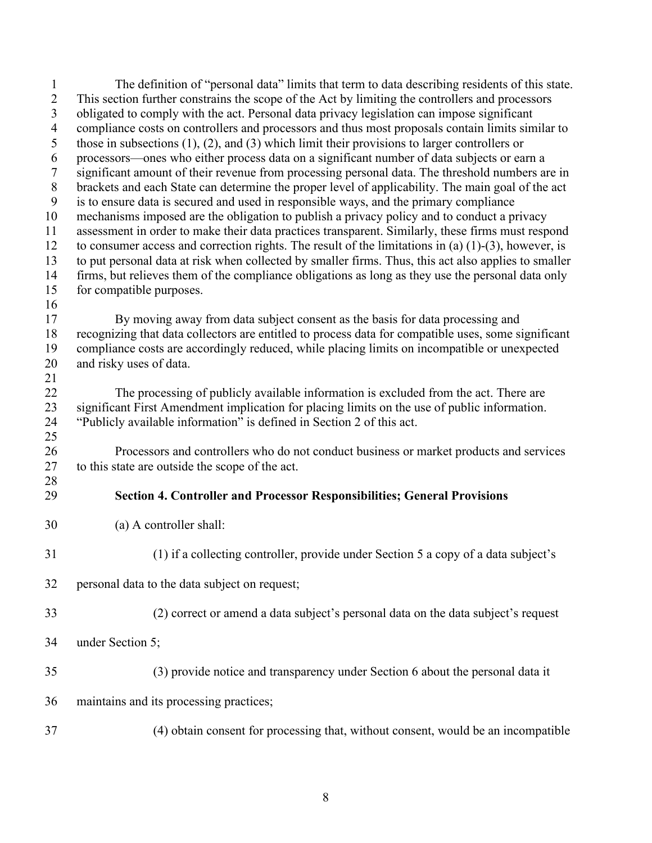<span id="page-10-0"></span>2 This section further constrains the scope of the Act by limiting the controllers and processors 22 The processing of publicly available information is excluded from the act. There are under Section 5; 1 The definition of "personal data" limits that term to data describing residents of this state. 3 obligated to comply with the act. Personal data privacy legislation can impose significant 4 compliance costs on controllers and processors and thus most proposals contain limits similar to 5 those in subsections (1), (2), and (3) which limit their provisions to larger controllers or 6 processors—ones who either process data on a significant number of data subjects or earn a 7 significant amount of their revenue from processing personal data. The threshold numbers are in 8 brackets and each State can determine the proper level of applicability. The main goal of the act 9 is to ensure data is secured and used in responsible ways, and the primary compliance 10 mechanisms imposed are the obligation to publish a privacy policy and to conduct a privacy 11 assessment in order to make their data practices transparent. Similarly, these firms must respond 12 to consumer access and correction rights. The result of the limitations in (a) (1)-(3), however, is 13 to put personal data at risk when collected by smaller firms. Thus, this act also applies to smaller 14 firms, but relieves them of the compliance obligations as long as they use the personal data only 15 for compatible purposes. 16 17 By moving away from data subject consent as the basis for data processing and 18 recognizing that data collectors are entitled to process data for compatible uses, some significant 19 compliance costs are accordingly reduced, while placing limits on incompatible or unexpected 20 and risky uses of data. 21 23 significant First Amendment implication for placing limits on the use of public information. 24 "Publicly available information" is defined in Section 2 of this act. 25 26 Processors and controllers who do not conduct business or market products and services 27 to this state are outside the scope of the act. 28 29 **Section 4. Controller and Processor Responsibilities; General Provisions**  30 (a) A controller shall: 31 (1) if a collecting controller, provide under Section 5 a copy of a data subject's 32 personal data to the data subject on request; 33 (2) correct or amend a data subject's personal data on the data subject's request 34 under Section 5;<br>35 (3) provide notice and transparency under Section 6 about the personal data it 36 maintains and its processing practices; 37 (4) obtain consent for processing that, without consent, would be an incompatible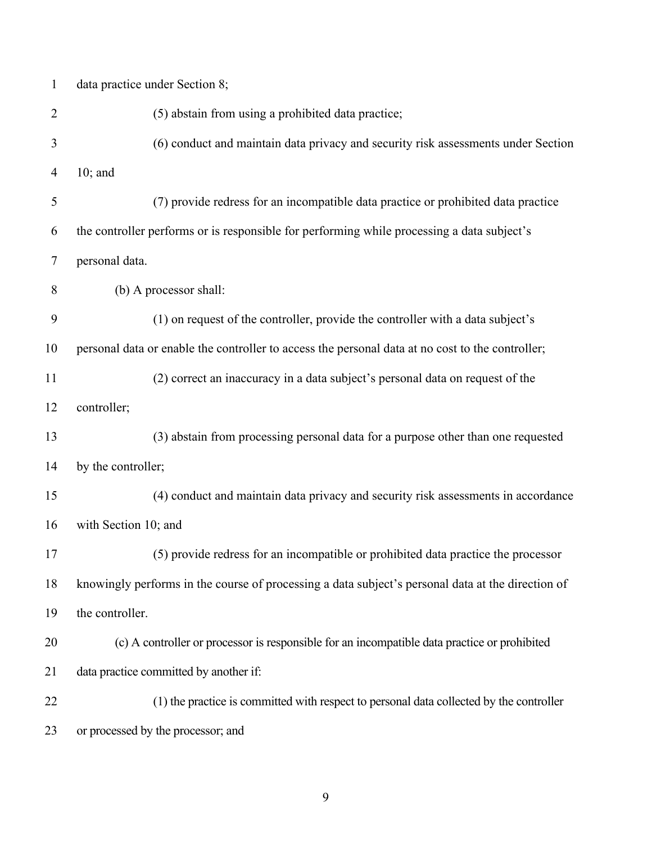| $\mathbf{1}$ | data practice under Section 8;                                                                    |
|--------------|---------------------------------------------------------------------------------------------------|
| 2            | (5) abstain from using a prohibited data practice;                                                |
| 3            | (6) conduct and maintain data privacy and security risk assessments under Section                 |
| 4            | $10;$ and                                                                                         |
| 5            | (7) provide redress for an incompatible data practice or prohibited data practice                 |
| 6            | the controller performs or is responsible for performing while processing a data subject's        |
| 7            | personal data.                                                                                    |
| 8            | (b) A processor shall:                                                                            |
| 9            | (1) on request of the controller, provide the controller with a data subject's                    |
| 10           | personal data or enable the controller to access the personal data at no cost to the controller;  |
| 11           | (2) correct an inaccuracy in a data subject's personal data on request of the                     |
| 12           | controller;                                                                                       |
| 13           | (3) abstain from processing personal data for a purpose other than one requested                  |
| 14           | by the controller;                                                                                |
| 15           | (4) conduct and maintain data privacy and security risk assessments in accordance                 |
| 16           | with Section 10; and                                                                              |
| 17           | (5) provide redress for an incompatible or prohibited data practice the processor                 |
| 18           | knowingly performs in the course of processing a data subject's personal data at the direction of |
| 19           | the controller.                                                                                   |
| 20           | (c) A controller or processor is responsible for an incompatible data practice or prohibited      |
| 21           | data practice committed by another if:                                                            |
| 22           | (1) the practice is committed with respect to personal data collected by the controller           |
| 23           | or processed by the processor; and                                                                |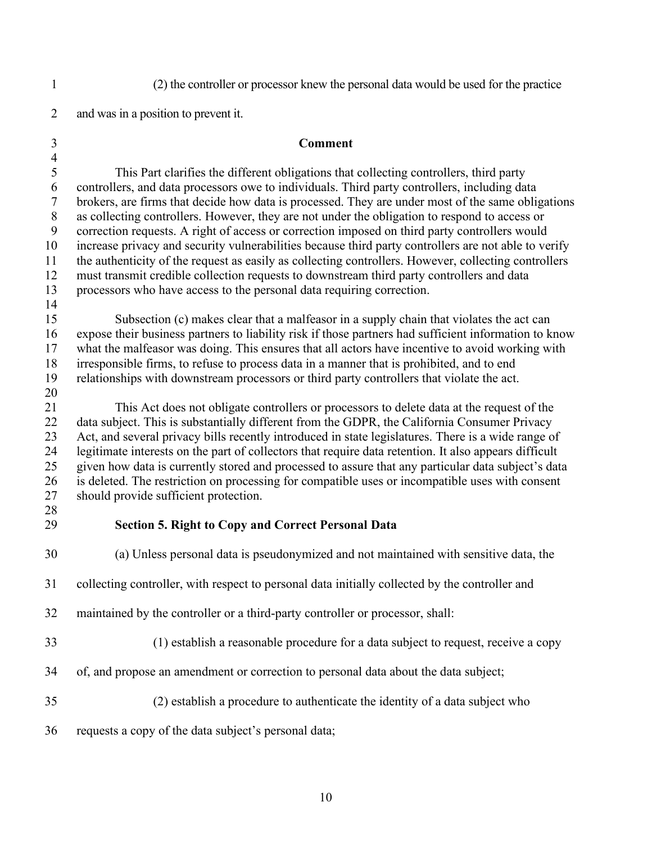1 (2) the controller or processor knew the personal data would be used for the practice

2 and was in a position to prevent it.

#### 3 **Comment**

 $\frac{4}{5}$ This Part clarifies the different obligations that collecting controllers, third party 6 controllers, and data processors owe to individuals. Third party controllers, including data<br>7 brokers, are firms that decide how data is processed. They are under most of the same oblis brokers, are firms that decide how data is processed. They are under most of the same obligations 8 as collecting controllers. However, they are not under the obligation to respond to access or 9 correction requests. A right of access or correction imposed on third party controllers would 10 increase privacy and security vulnerabilities because third party controllers are not able to verify 11 the authenticity of the request as easily as collecting controllers. However, collecting controllers 12 must transmit credible collection requests to downstream third party controllers and data 13 processors who have access to the personal data requiring correction.

15 Subsection (c) makes clear that a malfeasor in a supply chain that violates the act can 16 expose their business partners to liability risk if those partners had sufficient information to know 17 what the malfeasor was doing. This ensures that all actors have incentive to avoid working with 18 irresponsible firms, to refuse to process data in a manner that is prohibited, and to end 19 relationships with downstream processors or third party controllers that violate the act.

20

14

21 This Act does not obligate controllers or processors to delete data at the request of the 22 data subject. This is substantially different from the GDPR, the California Consumer Privacy 23 Act, and several privacy bills recently introduced in state legislatures. There is a wide range of 24 legitimate interests on the part of collectors that require data retention. It also appears difficult 25 given how data is currently stored and processed to assure that any particular data subject's data 26 is deleted. The restriction on processing for compatible uses or incompatible uses with consent 27 should provide sufficient protection.

28

## <span id="page-12-0"></span> 29 **Section 5. Right to Copy and Correct Personal Data**

30 (a) Unless personal data is pseudonymized and not maintained with sensitive data, the

- 31 collecting controller, with respect to personal data initially collected by the controller and
- 32 maintained by the controller or a third-party controller or processor, shall:
- 33 (1) establish a reasonable procedure for a data subject to request, receive a copy
- 34 of, and propose an amendment or correction to personal data about the data subject;
- 35 (2) establish a procedure to authenticate the identity of a data subject who
- 36 requests a copy of the data subject's personal data;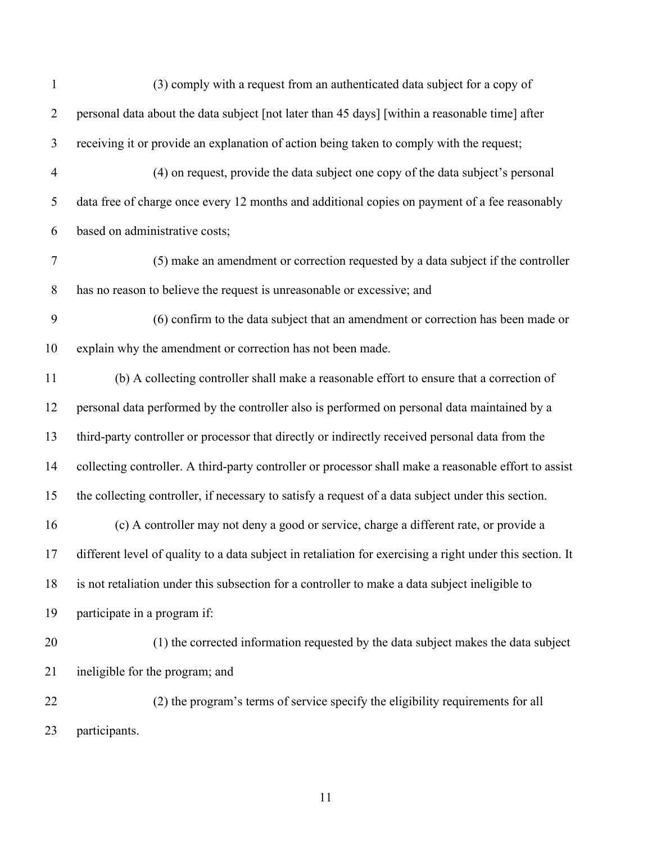| (3) comply with a request from an authenticated data subject for a copy of                                |
|-----------------------------------------------------------------------------------------------------------|
| personal data about the data subject [not later than 45 days] [within a reasonable time] after            |
| receiving it or provide an explanation of action being taken to comply with the request;                  |
| (4) on request, provide the data subject one copy of the data subject's personal                          |
| data free of charge once every 12 months and additional copies on payment of a fee reasonably             |
| based on administrative costs;                                                                            |
| (5) make an amendment or correction requested by a data subject if the controller                         |
| has no reason to believe the request is unreasonable or excessive; and                                    |
| (6) confirm to the data subject that an amendment or correction has been made or                          |
| explain why the amendment or correction has not been made.                                                |
| (b) A collecting controller shall make a reasonable effort to ensure that a correction of                 |
| personal data performed by the controller also is performed on personal data maintained by a              |
| third-party controller or processor that directly or indirectly received personal data from the           |
| collecting controller. A third-party controller or processor shall make a reasonable effort to assist     |
| the collecting controller, if necessary to satisfy a request of a data subject under this section.        |
| (c) A controller may not deny a good or service, charge a different rate, or provide a                    |
| different level of quality to a data subject in retaliation for exercising a right under this section. It |
| is not retaliation under this subsection for a controller to make a data subject ineligible to            |
| participate in a program if:                                                                              |
| (1) the corrected information requested by the data subject makes the data subject                        |
| ineligible for the program; and                                                                           |
| (2) the program's terms of service specify the eligibility requirements for all                           |
| participants.                                                                                             |
|                                                                                                           |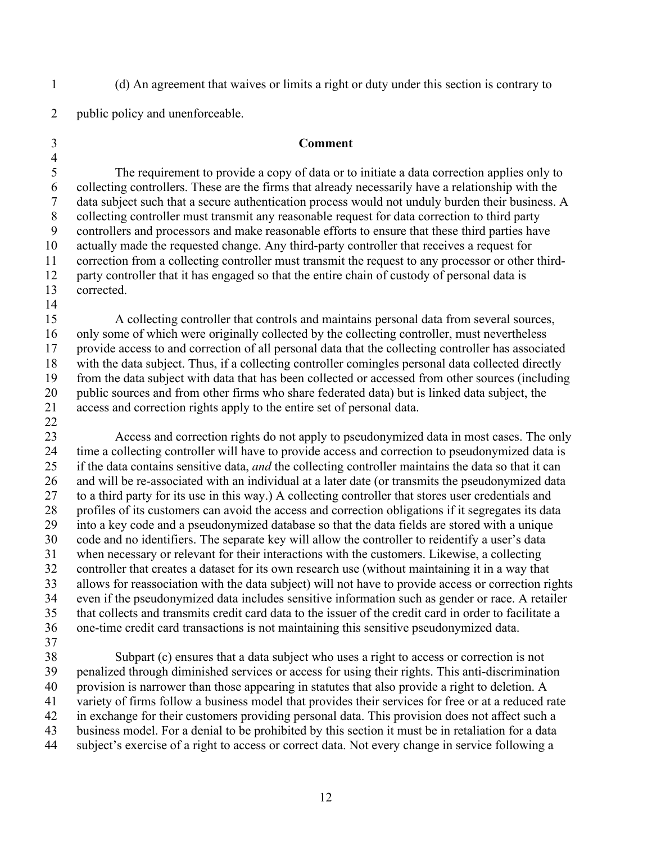1 (d) An agreement that waives or limits a right or duty under this section is contrary to

2 public policy and unenforceable.

4

14

22

#### 3 **Comment**

 7 data subject such that a secure authentication process would not unduly burden their business. A 5 10 The requirement to provide a copy of data or to initiate a data correction applies only to 6 collecting controllers. These are the firms that already necessarily have a relationship with the 8 collecting controller must transmit any reasonable request for data correction to third party 9 controllers and processors and make reasonable efforts to ensure that these third parties have actually made the requested change. Any third-party controller that receives a request for 11 correction from a collecting controller must transmit the request to any processor or other third-12 party controller that it has engaged so that the entire chain of custody of personal data is 13 corrected.

15 20 A collecting controller that controls and maintains personal data from several sources, 16 only some of which were originally collected by the collecting controller, must nevertheless 17 provide access to and correction of all personal data that the collecting controller has associated 18 with the data subject. Thus, if a collecting controller comingles personal data collected directly 19 from the data subject with data that has been collected or accessed from other sources (including public sources and from other firms who share federated data) but is linked data subject, the 21 access and correction rights apply to the entire set of personal data.

25 30 35 23 Access and correction rights do not apply to pseudonymized data in most cases. The only 24 time a collecting controller will have to provide access and correction to pseudonymized data is if the data contains sensitive data, *and* the collecting controller maintains the data so that it can 26 and will be re-associated with an individual at a later date (or transmits the pseudonymized data 27 to a third party for its use in this way.) A collecting controller that stores user credentials and 28 profiles of its customers can avoid the access and correction obligations if it segregates its data 29 into a key code and a pseudonymized database so that the data fields are stored with a unique code and no identifiers. The separate key will allow the controller to reidentify a user's data 31 when necessary or relevant for their interactions with the customers. Likewise, a collecting 32 controller that creates a dataset for its own research use (without maintaining it in a way that 33 allows for reassociation with the data subject) will not have to provide access or correction rights 34 even if the pseudonymized data includes sensitive information such as gender or race. A retailer that collects and transmits credit card data to the issuer of the credit card in order to facilitate a 36 one-time credit card transactions is not maintaining this sensitive pseudonymized data. 37

 41 variety of firms follow a business model that provides their services for free or at a reduced rate 42 in exchange for their customers providing personal data. This provision does not affect such a 40 38 Subpart (c) ensures that a data subject who uses a right to access or correction is not 39 penalized through diminished services or access for using their rights. This anti-discrimination provision is narrower than those appearing in statutes that also provide a right to deletion. A 43 business model. For a denial to be prohibited by this section it must be in retaliation for a data 44 subject's exercise of a right to access or correct data. Not every change in service following a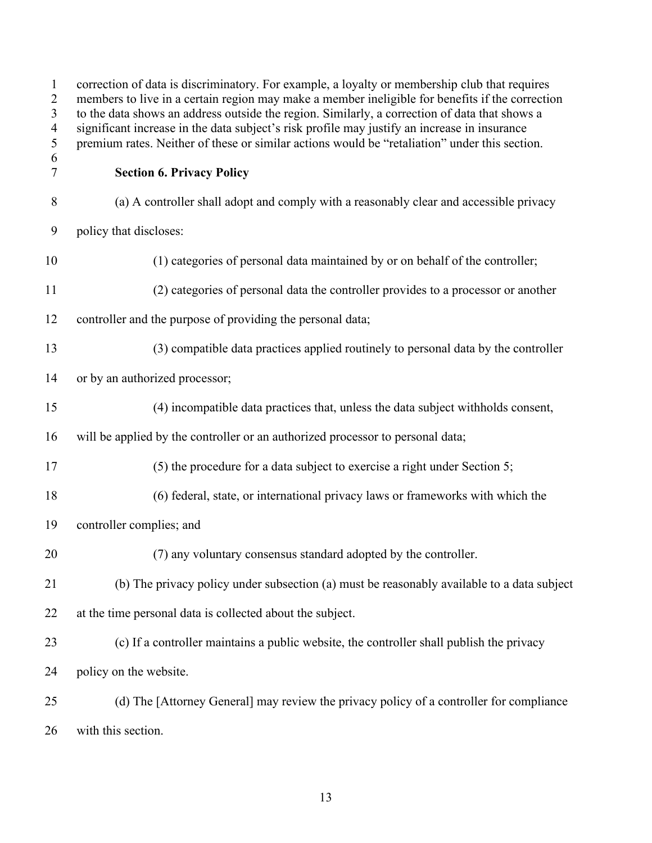<span id="page-15-0"></span>

| $\mathbf{1}$<br>$\overline{c}$<br>$\overline{3}$<br>$\overline{4}$<br>5 | correction of data is discriminatory. For example, a loyalty or membership club that requires<br>members to live in a certain region may make a member ineligible for benefits if the correction<br>to the data shows an address outside the region. Similarly, a correction of data that shows a<br>significant increase in the data subject's risk profile may justify an increase in insurance<br>premium rates. Neither of these or similar actions would be "retaliation" under this section. |
|-------------------------------------------------------------------------|----------------------------------------------------------------------------------------------------------------------------------------------------------------------------------------------------------------------------------------------------------------------------------------------------------------------------------------------------------------------------------------------------------------------------------------------------------------------------------------------------|
| 6<br>$\boldsymbol{7}$                                                   | <b>Section 6. Privacy Policy</b>                                                                                                                                                                                                                                                                                                                                                                                                                                                                   |
| 8                                                                       | (a) A controller shall adopt and comply with a reasonably clear and accessible privacy                                                                                                                                                                                                                                                                                                                                                                                                             |
| 9                                                                       | policy that discloses:                                                                                                                                                                                                                                                                                                                                                                                                                                                                             |
| 10                                                                      | (1) categories of personal data maintained by or on behalf of the controller;                                                                                                                                                                                                                                                                                                                                                                                                                      |
| 11                                                                      | (2) categories of personal data the controller provides to a processor or another                                                                                                                                                                                                                                                                                                                                                                                                                  |
| 12                                                                      | controller and the purpose of providing the personal data;                                                                                                                                                                                                                                                                                                                                                                                                                                         |
| 13                                                                      | (3) compatible data practices applied routinely to personal data by the controller                                                                                                                                                                                                                                                                                                                                                                                                                 |
| 14                                                                      | or by an authorized processor;                                                                                                                                                                                                                                                                                                                                                                                                                                                                     |
| 15                                                                      | (4) incompatible data practices that, unless the data subject withholds consent,                                                                                                                                                                                                                                                                                                                                                                                                                   |
| 16                                                                      | will be applied by the controller or an authorized processor to personal data;                                                                                                                                                                                                                                                                                                                                                                                                                     |
| 17                                                                      | (5) the procedure for a data subject to exercise a right under Section 5;                                                                                                                                                                                                                                                                                                                                                                                                                          |
| 18                                                                      | (6) federal, state, or international privacy laws or frameworks with which the                                                                                                                                                                                                                                                                                                                                                                                                                     |
| 19                                                                      | controller complies; and                                                                                                                                                                                                                                                                                                                                                                                                                                                                           |
| 20                                                                      | (7) any voluntary consensus standard adopted by the controller.                                                                                                                                                                                                                                                                                                                                                                                                                                    |
| 21                                                                      | (b) The privacy policy under subsection (a) must be reasonably available to a data subject                                                                                                                                                                                                                                                                                                                                                                                                         |
| 22                                                                      | at the time personal data is collected about the subject.                                                                                                                                                                                                                                                                                                                                                                                                                                          |
| 23                                                                      | (c) If a controller maintains a public website, the controller shall publish the privacy                                                                                                                                                                                                                                                                                                                                                                                                           |
| 24                                                                      | policy on the website.                                                                                                                                                                                                                                                                                                                                                                                                                                                                             |
| 25                                                                      | (d) The [Attorney General] may review the privacy policy of a controller for compliance                                                                                                                                                                                                                                                                                                                                                                                                            |
| 26                                                                      | with this section.                                                                                                                                                                                                                                                                                                                                                                                                                                                                                 |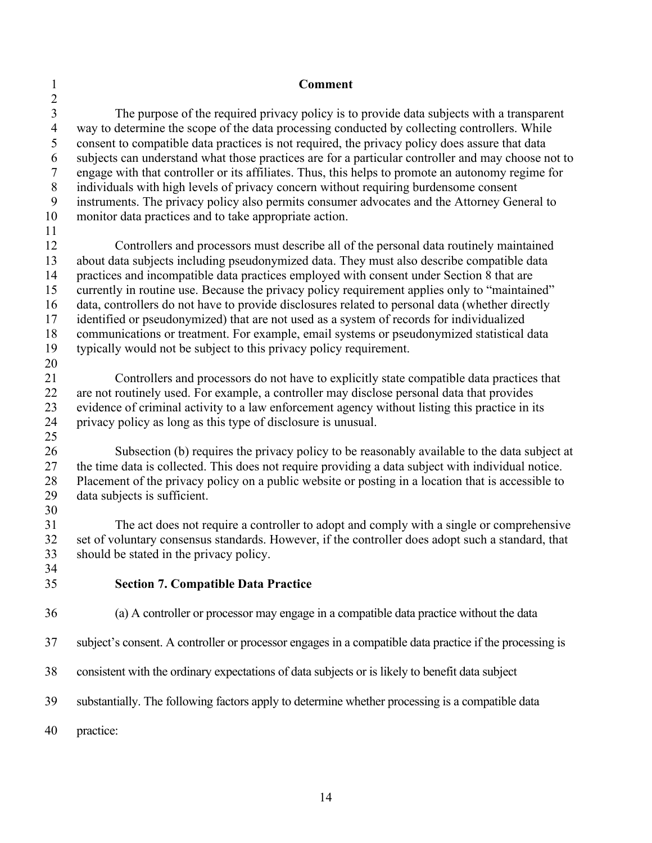22 are not routinely used. For example, a controller may disclose personal data that provides 36 (a) A controller or processor may engage in a compatible data practice without the data 38 consistent with the ordinary expectations of data subjects or is likely to benefit data subject 1 **Comment**  2 3 The purpose of the required privacy policy is to provide data subjects with a transparent 4 way to determine the scope of the data processing conducted by collecting controllers. While<br>5 consent to compatible data practices is not required, the privacy policy does assure that data 5 consent to compatible data practices is not required, the privacy policy does assure that data 6 subjects can understand what those practices are for a particular controller and may choose not to 7 engage with that controller or its affiliates. Thus, this helps to promote an autonomy regime for 8 individuals with high levels of privacy concern without requiring burdensome consent<br>9 instruments. The privacy policy also permits consumer advocates and the Attorney Ger instruments. The privacy policy also permits consumer advocates and the Attorney General to 10 monitor data practices and to take appropriate action. 11 12 Controllers and processors must describe all of the personal data routinely maintained 13 about data subjects including pseudonymized data. They must also describe compatible data 14 practices and incompatible data practices employed with consent under Section 8 that are 15 currently in routine use. Because the privacy policy requirement applies only to "maintained" 16 data, controllers do not have to provide disclosures related to personal data (whether directly 17 identified or pseudonymized) that are not used as a system of records for individualized 18 communications or treatment. For example, email systems or pseudonymized statistical data 19 typically would not be subject to this privacy policy requirement. 20 21 Controllers and processors do not have to explicitly state compatible data practices that 23 evidence of criminal activity to a law enforcement agency without listing this practice in its<br>24 privacy policy as long as this type of disclosure is unusual. privacy policy as long as this type of disclosure is unusual. 25 26 Subsection (b) requires the privacy policy to be reasonably available to the data subject at 27 the time data is collected. This does not require providing a data subject with individual notice. 28 Placement of the privacy policy on a public website or posting in a location that is accessible to 29 data subjects is sufficient. 30 31 The act does not require a controller to adopt and comply with a single or comprehensive<br>32 set of voluntary consensus standards. However, if the controller does adopt such a standard, that set of voluntary consensus standards. However, if the controller does adopt such a standard, that 33 should be stated in the privacy policy. 34 35 **Section 7. Compatible Data Practice**  37 subject's consent. A controller or processor engages in a compatible data practice if the processing is 39 substantially. The following factors apply to determine whether processing is a compatible data

<span id="page-16-0"></span>40 practice: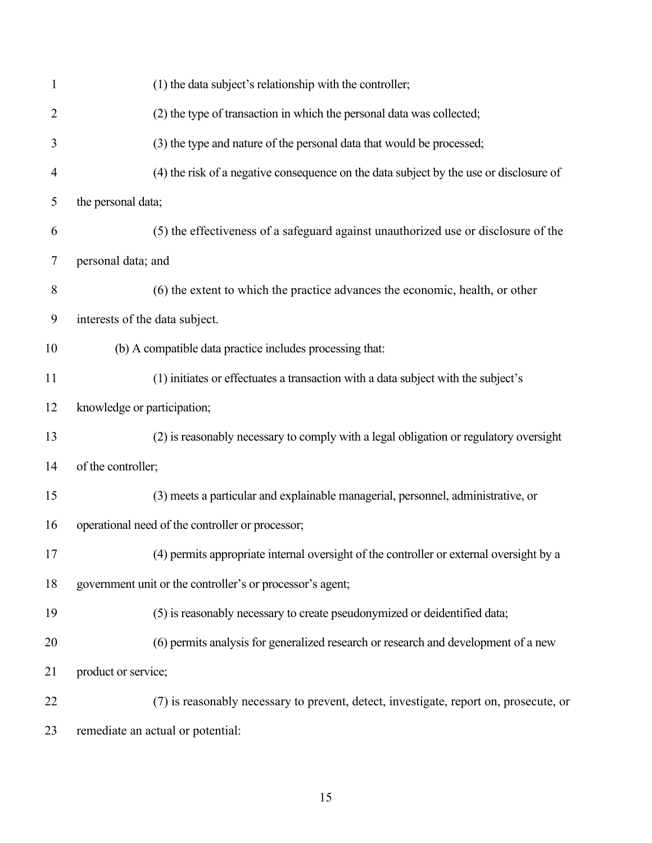| 1              | (1) the data subject's relationship with the controller;                                |
|----------------|-----------------------------------------------------------------------------------------|
| $\overline{2}$ | (2) the type of transaction in which the personal data was collected;                   |
| 3              | (3) the type and nature of the personal data that would be processed;                   |
| 4              | (4) the risk of a negative consequence on the data subject by the use or disclosure of  |
| 5              | the personal data;                                                                      |
| 6              | (5) the effectiveness of a safeguard against unauthorized use or disclosure of the      |
| 7              | personal data; and                                                                      |
| 8              | (6) the extent to which the practice advances the economic, health, or other            |
| 9              | interests of the data subject.                                                          |
| 10             | (b) A compatible data practice includes processing that:                                |
| 11             | (1) initiates or effectuates a transaction with a data subject with the subject's       |
| 12             | knowledge or participation;                                                             |
| 13             | (2) is reasonably necessary to comply with a legal obligation or regulatory oversight   |
| 14             | of the controller;                                                                      |
| 15             | (3) meets a particular and explainable managerial, personnel, administrative, or        |
| 16             | operational need of the controller or processor;                                        |
| 17             | (4) permits appropriate internal oversight of the controller or external oversight by a |
| 18             | government unit or the controller's or processor's agent;                               |
| 19             | (5) is reasonably necessary to create pseudonymized or deidentified data;               |
| 20             | (6) permits analysis for generalized research or research and development of a new      |
| 21             | product or service;                                                                     |
| 22             | (7) is reasonably necessary to prevent, detect, investigate, report on, prosecute, or   |
| 23             | remediate an actual or potential:                                                       |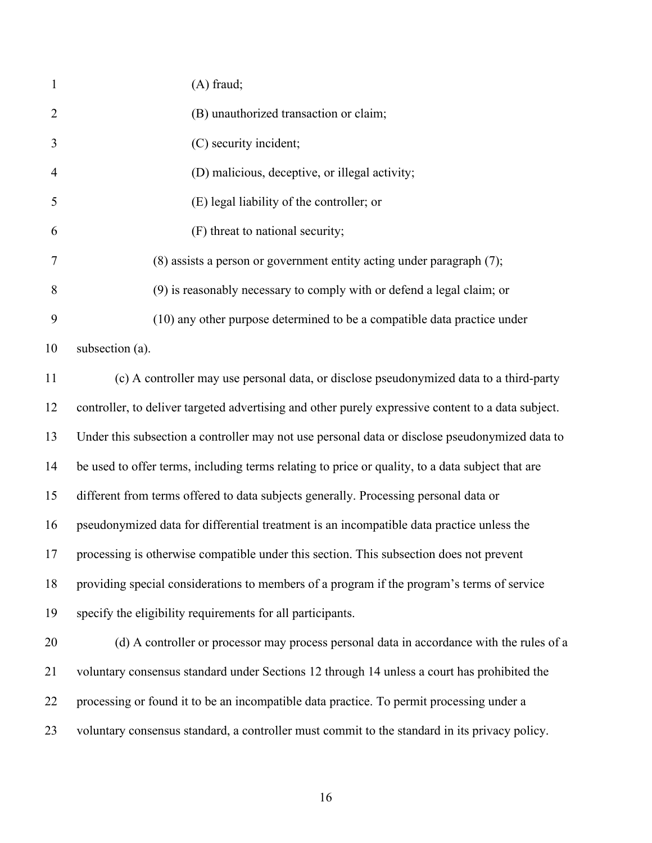| $\mathbf{1}$   | $(A)$ fraud;                                                                                       |
|----------------|----------------------------------------------------------------------------------------------------|
| $\overline{2}$ | (B) unauthorized transaction or claim;                                                             |
| 3              | (C) security incident;                                                                             |
| $\overline{4}$ | (D) malicious, deceptive, or illegal activity;                                                     |
| 5              | (E) legal liability of the controller; or                                                          |
| 6              | (F) threat to national security;                                                                   |
| 7              | $(8)$ assists a person or government entity acting under paragraph $(7)$ ;                         |
| 8              | (9) is reasonably necessary to comply with or defend a legal claim; or                             |
| 9              | (10) any other purpose determined to be a compatible data practice under                           |
| 10             | subsection (a).                                                                                    |
| 11             | (c) A controller may use personal data, or disclose pseudonymized data to a third-party            |
| 12             | controller, to deliver targeted advertising and other purely expressive content to a data subject. |
| 13             | Under this subsection a controller may not use personal data or disclose pseudonymized data to     |
| 14             | be used to offer terms, including terms relating to price or quality, to a data subject that are   |
| 15             | different from terms offered to data subjects generally. Processing personal data or               |
| 16             | pseudonymized data for differential treatment is an incompatible data practice unless the          |
| 17             | processing is otherwise compatible under this section. This subsection does not prevent            |
| 18             | providing special considerations to members of a program if the program's terms of service         |
| 19             | specify the eligibility requirements for all participants.                                         |
| 20             | (d) A controller or processor may process personal data in accordance with the rules of a          |
| 21             | voluntary consensus standard under Sections 12 through 14 unless a court has prohibited the        |
| 22             | processing or found it to be an incompatible data practice. To permit processing under a           |
| 23             | voluntary consensus standard, a controller must commit to the standard in its privacy policy.      |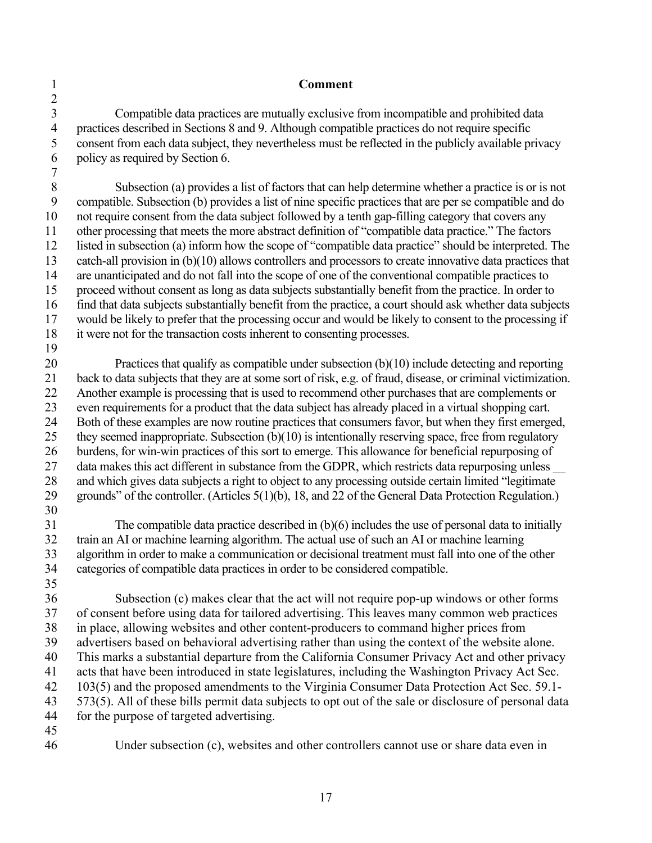**Comment** 

3 4 5 6 Compatible data practices are mutually exclusive from incompatible and prohibited data practices described in Sections 8 and 9. Although compatible practices do not require specific consent from each data subject, they nevertheless must be reflected in the publicly available privacy policy as required by Section 6.

 Subsection (a) provides a list of factors that can help determine whether a practice is or is not would be likely to prefer that the processing occur and would be likely to consent to the processing if 8 9 10 11 12 13 14 15 16 17 18 compatible. Subsection (b) provides a list of nine specific practices that are per se compatible and do not require consent from the data subject followed by a tenth gap-filling category that covers any other processing that meets the more abstract definition of "compatible data practice." The factors listed in subsection (a) inform how the scope of "compatible data practice" should be interpreted. The catch-all provision in (b)(10) allows controllers and processors to create innovative data practices that are unanticipated and do not fall into the scope of one of the conventional compatible practices to proceed without consent as long as data subjects substantially benefit from the practice. In order to find that data subjects substantially benefit from the practice, a court should ask whether data subjects it were not for the transaction costs inherent to consenting processes.

19 20 21 22 23 24 25 26 27 28 29 30 Practices that qualify as compatible under subsection (b)(10) include detecting and reporting back to data subjects that they are at some sort of risk, e.g. of fraud, disease, or criminal victimization. Another example is processing that is used to recommend other purchases that are complements or even requirements for a product that the data subject has already placed in a virtual shopping cart. Both of these examples are now routine practices that consumers favor, but when they first emerged, they seemed inappropriate. Subsection (b)(10) is intentionally reserving space, free from regulatory burdens, for win-win practices of this sort to emerge. This allowance for beneficial repurposing of data makes this act different in substance from the GDPR, which restricts data repurposing unless and which gives data subjects a right to object to any processing outside certain limited "legitimate grounds" of the controller. (Articles 5(1)(b), 18, and 22 of the General Data Protection Regulation.)

31 32 33 34 35 The compatible data practice described in  $(b)(6)$  includes the use of personal data to initially train an AI or machine learning algorithm. The actual use of such an AI or machine learning algorithm in order to make a communication or decisional treatment must fall into one of the other categories of compatible data practices in order to be considered compatible.

36 37 38 39 40 41 42 43 44 Subsection (c) makes clear that the act will not require pop-up windows or other forms of consent before using data for tailored advertising. This leaves many common web practices in place, allowing websites and other content-producers to command higher prices from advertisers based on behavioral advertising rather than using the context of the website alone. This marks a substantial departure from the California Consumer Privacy Act and other privacy acts that have been introduced in state legislatures, including the Washington Privacy Act Sec. 103(5) and the proposed amendments to the Virginia Consumer Data Protection Act Sec. 59.1- 573(5). All of these bills permit data subjects to opt out of the sale or disclosure of personal data for the purpose of targeted advertising.

- 45
- 46

1 2

7

Under subsection (c), websites and other controllers cannot use or share data even in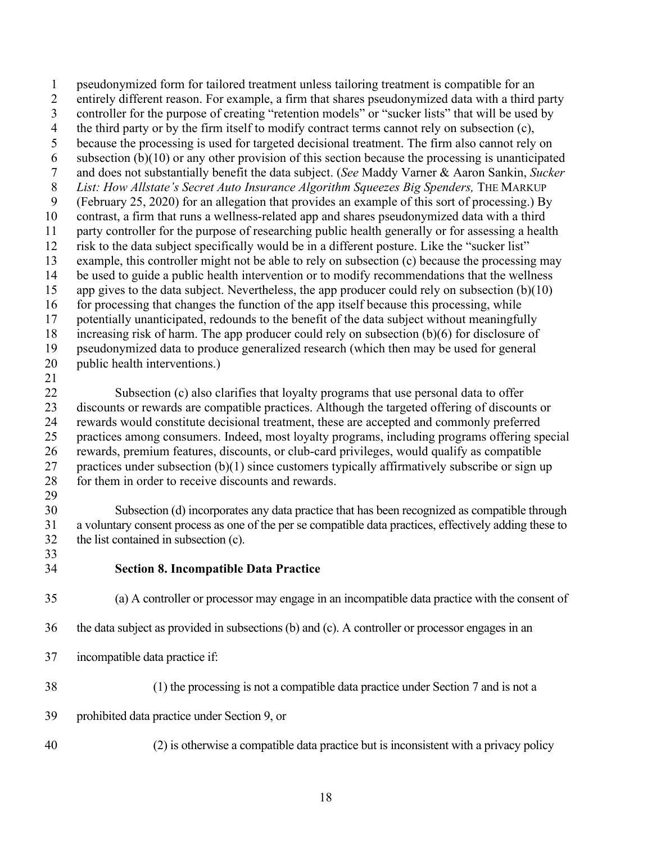12 risk to the data subject specifically would be in a different posture. Like the "sucker list" 20 public health interventions.)<br>21 1 pseudonymized form for tailored treatment unless tailoring treatment is compatible for an 2 entirely different reason. For example, a firm that shares pseudonymized data with a third party 3 controller for the purpose of creating "retention models" or "sucker lists" that will be used by 4 the third party or by the firm itself to modify contract terms cannot rely on subsection (c), 5 because the processing is used for targeted decisional treatment. The firm also cannot rely on 6 subsection  $(b)(10)$  or any other provision of this section because the processing is unanticipated 7 and does not substantially benefit the data subject. (*See* Maddy Varner & Aaron Sankin, *Sucker*  8 *List: How Allstate's Secret Auto Insurance Algorithm Squeezes Big Spenders, THE MARKUP* 9 (February 25, 2020) for an allegation that provides an example of this sort of processing.) By 10 contrast, a firm that runs a wellness-related app and shares pseudonymized data with a third 11 party controller for the purpose of researching public health generally or for assessing a health 13 example, this controller might not be able to rely on subsection (c) because the processing may 14 be used to guide a public health intervention or to modify recommendations that the wellness 15 app gives to the data subject. Nevertheless, the app producer could rely on subsection (b)(10) 16 for processing that changes the function of the app itself because this processing, while 17 potentially unanticipated, redounds to the benefit of the data subject without meaningfully 18 increasing risk of harm. The app producer could rely on subsection (b)(6) for disclosure of 19 pseudonymized data to produce generalized research (which then may be used for general 22 Subsection (c) also clarifies that loyalty programs that use personal data to offer 23 discounts or rewards are compatible practices. Although the targeted offering of discounts or 24 rewards would constitute decisional treatment, these are accepted and commonly preferred 25 practices among consumers. Indeed, most loyalty programs, including programs offering special 26 rewards, premium features, discounts, or club-card privileges, would qualify as compatible 27 practices under subsection  $(b)(1)$  since customers typically affirmatively subscribe or sign up 28 for them in order to receive discounts and rewards. 29 30 Subsection (d) incorporates any data practice that has been recognized as compatible through 31 a voluntary consent process as one of the per se compatible data practices, effectively adding these to 32 the list contained in subsection (c).

33

#### <span id="page-20-0"></span>34 **Section 8. Incompatible Data Practice**

## 35 (a) A controller or processor may engage in an incompatible data practice with the consent of

- 36 the data subject as provided in subsections (b) and (c). A controller or processor engages in an
- incompatible data practice if:
- 37 incompatible data practice if:<br>38 (1) the processing is not a compatible data practice under Section 7 and is not a
- 39 prohibited data practice under Section 9, or
- 40 (2) is otherwise a compatible data practice but is inconsistent with a privacy policy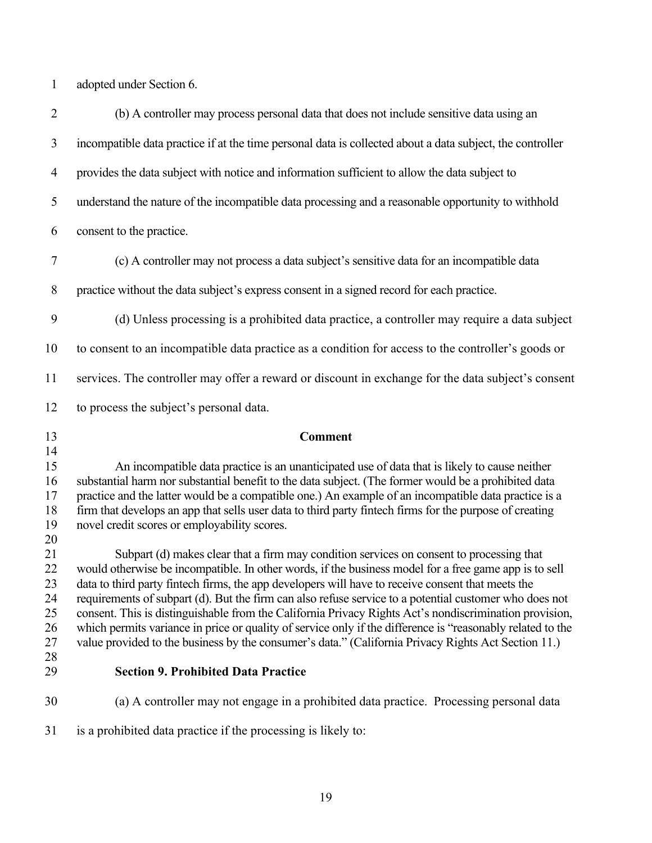1 adopted under Section 6.

<span id="page-21-0"></span>

| $\overline{2}$ | (b) A controller may process personal data that does not include sensitive data using an                                                                                                                         |
|----------------|------------------------------------------------------------------------------------------------------------------------------------------------------------------------------------------------------------------|
| 3              | incompatible data practice if at the time personal data is collected about a data subject, the controller                                                                                                        |
| $\overline{4}$ | provides the data subject with notice and information sufficient to allow the data subject to                                                                                                                    |
| 5              | understand the nature of the incompatible data processing and a reasonable opportunity to withhold                                                                                                               |
| 6              | consent to the practice.                                                                                                                                                                                         |
| 7              | (c) A controller may not process a data subject's sensitive data for an incompatible data                                                                                                                        |
| 8              | practice without the data subject's express consent in a signed record for each practice.                                                                                                                        |
| 9              | (d) Unless processing is a prohibited data practice, a controller may require a data subject                                                                                                                     |
| 10             | to consent to an incompatible data practice as a condition for access to the controller's goods or                                                                                                               |
| 11             | services. The controller may offer a reward or discount in exchange for the data subject's consent                                                                                                               |
| 12             | to process the subject's personal data.                                                                                                                                                                          |
|                |                                                                                                                                                                                                                  |
| 13             | <b>Comment</b>                                                                                                                                                                                                   |
| 14             |                                                                                                                                                                                                                  |
| 15             | An incompatible data practice is an unanticipated use of data that is likely to cause neither<br>substantial harm nor substantial benefit to the data subject. (The former would be a prohibited data            |
| 17             | practice and the latter would be a compatible one.) An example of an incompatible data practice is a                                                                                                             |
| 16<br>18       | firm that develops an app that sells user data to third party fintech firms for the purpose of creating                                                                                                          |
| 19             | novel credit scores or employability scores.                                                                                                                                                                     |
| 20             |                                                                                                                                                                                                                  |
| 21             | Subpart (d) makes clear that a firm may condition services on consent to processing that                                                                                                                         |
| 22             | would otherwise be incompatible. In other words, if the business model for a free game app is to sell                                                                                                            |
| 23             | data to third party fintech firms, the app developers will have to receive consent that meets the                                                                                                                |
| 24             | requirements of subpart (d). But the firm can also refuse service to a potential customer who does not<br>consent. This is distinguishable from the California Privacy Rights Act's nondiscrimination provision, |
| 25<br>26       | which permits variance in price or quality of service only if the difference is "reasonably related to the                                                                                                       |
|                | value provided to the business by the consumer's data." (California Privacy Rights Act Section 11.)                                                                                                              |
|                |                                                                                                                                                                                                                  |
| 27<br>28<br>29 | <b>Section 9. Prohibited Data Practice</b>                                                                                                                                                                       |
| 30             | (a) A controller may not engage in a prohibited data practice. Processing personal data                                                                                                                          |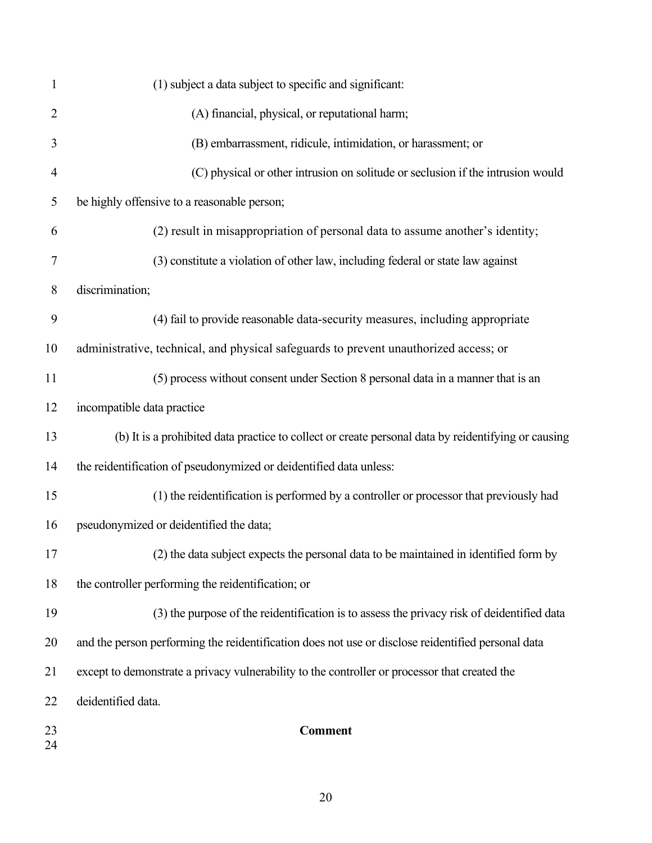| $\mathbf{1}$ | (1) subject a data subject to specific and significant:                                             |
|--------------|-----------------------------------------------------------------------------------------------------|
| 2            | (A) financial, physical, or reputational harm;                                                      |
| 3            | (B) embarrassment, ridicule, intimidation, or harassment; or                                        |
| 4            | (C) physical or other intrusion on solitude or seclusion if the intrusion would                     |
| 5            | be highly offensive to a reasonable person;                                                         |
| 6            | (2) result in misappropriation of personal data to assume another's identity;                       |
| 7            | (3) constitute a violation of other law, including federal or state law against                     |
| 8            | discrimination;                                                                                     |
| 9            | (4) fail to provide reasonable data-security measures, including appropriate                        |
| 10           | administrative, technical, and physical safeguards to prevent unauthorized access; or               |
| 11           | (5) process without consent under Section 8 personal data in a manner that is an                    |
| 12           | incompatible data practice                                                                          |
| 13           | (b) It is a prohibited data practice to collect or create personal data by reidentifying or causing |
| 14           | the reidentification of pseudonymized or deidentified data unless:                                  |
| 15           | (1) the reidentification is performed by a controller or processor that previously had              |
| 16           | pseudonymized or deidentified the data;                                                             |
| 17           | (2) the data subject expects the personal data to be maintained in identified form by               |
| 18           | the controller performing the reidentification; or                                                  |
| 19           | (3) the purpose of the reidentification is to assess the privacy risk of deidentified data          |
| 20           | and the person performing the reidentification does not use or disclose reidentified personal data  |
| 21           | except to demonstrate a privacy vulnerability to the controller or processor that created the       |
| 22           | deidentified data.                                                                                  |
| 23<br>24     | <b>Comment</b>                                                                                      |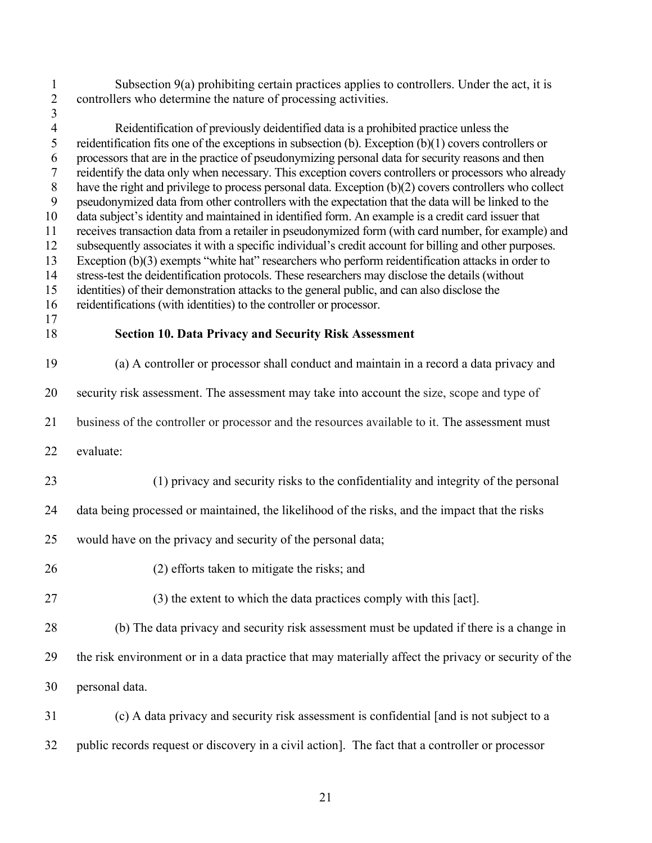<span id="page-23-0"></span>

| $\mathbf{1}$<br>$\overline{c}$                                                                                                                 | Subsection $9(a)$ prohibiting certain practices applies to controllers. Under the act, it is<br>controllers who determine the nature of processing activities.                                                                                                                                                                                                                                                                                                                                                                                                                                                                                                                                                                                                                                                                                                                                                                                                                                                                                                                                                                                                                                                                                                                                                                      |
|------------------------------------------------------------------------------------------------------------------------------------------------|-------------------------------------------------------------------------------------------------------------------------------------------------------------------------------------------------------------------------------------------------------------------------------------------------------------------------------------------------------------------------------------------------------------------------------------------------------------------------------------------------------------------------------------------------------------------------------------------------------------------------------------------------------------------------------------------------------------------------------------------------------------------------------------------------------------------------------------------------------------------------------------------------------------------------------------------------------------------------------------------------------------------------------------------------------------------------------------------------------------------------------------------------------------------------------------------------------------------------------------------------------------------------------------------------------------------------------------|
| $\overline{\mathbf{3}}$<br>$\overline{4}$<br>5<br>6<br>$\overline{7}$<br>$8\,$<br>$\mathbf{9}$<br>10<br>11<br>12<br>13<br>14<br>15<br>16<br>17 | Reidentification of previously deidentified data is a prohibited practice unless the<br>reidentification fits one of the exceptions in subsection (b). Exception $(b)(1)$ covers controllers or<br>processors that are in the practice of pseudonymizing personal data for security reasons and then<br>reidentify the data only when necessary. This exception covers controllers or processors who already<br>have the right and privilege to process personal data. Exception (b)(2) covers controllers who collect<br>pseudonymized data from other controllers with the expectation that the data will be linked to the<br>data subject's identity and maintained in identified form. An example is a credit card issuer that<br>receives transaction data from a retailer in pseudonymized form (with card number, for example) and<br>subsequently associates it with a specific individual's credit account for billing and other purposes.<br>Exception $(b)(3)$ exempts "white hat" researchers who perform reidentification attacks in order to<br>stress-test the deidentification protocols. These researchers may disclose the details (without<br>identities) of their demonstration attacks to the general public, and can also disclose the<br>reidentifications (with identities) to the controller or processor. |
| 18                                                                                                                                             | <b>Section 10. Data Privacy and Security Risk Assessment</b>                                                                                                                                                                                                                                                                                                                                                                                                                                                                                                                                                                                                                                                                                                                                                                                                                                                                                                                                                                                                                                                                                                                                                                                                                                                                        |
| 19                                                                                                                                             | (a) A controller or processor shall conduct and maintain in a record a data privacy and                                                                                                                                                                                                                                                                                                                                                                                                                                                                                                                                                                                                                                                                                                                                                                                                                                                                                                                                                                                                                                                                                                                                                                                                                                             |
| 20                                                                                                                                             | security risk assessment. The assessment may take into account the size, scope and type of                                                                                                                                                                                                                                                                                                                                                                                                                                                                                                                                                                                                                                                                                                                                                                                                                                                                                                                                                                                                                                                                                                                                                                                                                                          |
| 21                                                                                                                                             | business of the controller or processor and the resources available to it. The assessment must                                                                                                                                                                                                                                                                                                                                                                                                                                                                                                                                                                                                                                                                                                                                                                                                                                                                                                                                                                                                                                                                                                                                                                                                                                      |
| 22                                                                                                                                             | evaluate:                                                                                                                                                                                                                                                                                                                                                                                                                                                                                                                                                                                                                                                                                                                                                                                                                                                                                                                                                                                                                                                                                                                                                                                                                                                                                                                           |
| 23                                                                                                                                             | (1) privacy and security risks to the confidentiality and integrity of the personal                                                                                                                                                                                                                                                                                                                                                                                                                                                                                                                                                                                                                                                                                                                                                                                                                                                                                                                                                                                                                                                                                                                                                                                                                                                 |
| 24                                                                                                                                             | data being processed or maintained, the likelihood of the risks, and the impact that the risks                                                                                                                                                                                                                                                                                                                                                                                                                                                                                                                                                                                                                                                                                                                                                                                                                                                                                                                                                                                                                                                                                                                                                                                                                                      |
| 25                                                                                                                                             | would have on the privacy and security of the personal data;                                                                                                                                                                                                                                                                                                                                                                                                                                                                                                                                                                                                                                                                                                                                                                                                                                                                                                                                                                                                                                                                                                                                                                                                                                                                        |
| 26                                                                                                                                             | (2) efforts taken to mitigate the risks; and                                                                                                                                                                                                                                                                                                                                                                                                                                                                                                                                                                                                                                                                                                                                                                                                                                                                                                                                                                                                                                                                                                                                                                                                                                                                                        |
| 27                                                                                                                                             | (3) the extent to which the data practices comply with this [act].                                                                                                                                                                                                                                                                                                                                                                                                                                                                                                                                                                                                                                                                                                                                                                                                                                                                                                                                                                                                                                                                                                                                                                                                                                                                  |
| 28                                                                                                                                             | (b) The data privacy and security risk assessment must be updated if there is a change in                                                                                                                                                                                                                                                                                                                                                                                                                                                                                                                                                                                                                                                                                                                                                                                                                                                                                                                                                                                                                                                                                                                                                                                                                                           |
| 29                                                                                                                                             | the risk environment or in a data practice that may materially affect the privacy or security of the                                                                                                                                                                                                                                                                                                                                                                                                                                                                                                                                                                                                                                                                                                                                                                                                                                                                                                                                                                                                                                                                                                                                                                                                                                |
| 30                                                                                                                                             | personal data.                                                                                                                                                                                                                                                                                                                                                                                                                                                                                                                                                                                                                                                                                                                                                                                                                                                                                                                                                                                                                                                                                                                                                                                                                                                                                                                      |
| 31                                                                                                                                             | (c) A data privacy and security risk assessment is confidential [and is not subject to a                                                                                                                                                                                                                                                                                                                                                                                                                                                                                                                                                                                                                                                                                                                                                                                                                                                                                                                                                                                                                                                                                                                                                                                                                                            |
| 32                                                                                                                                             | public records request or discovery in a civil action]. The fact that a controller or processor                                                                                                                                                                                                                                                                                                                                                                                                                                                                                                                                                                                                                                                                                                                                                                                                                                                                                                                                                                                                                                                                                                                                                                                                                                     |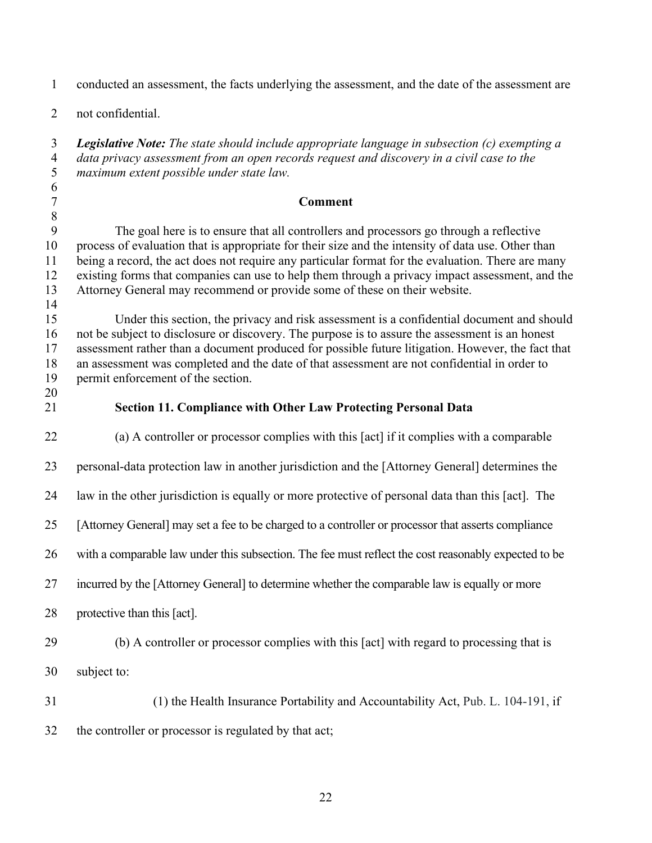<span id="page-24-0"></span>

| $\mathbf{1}$                             | conducted an assessment, the facts underlying the assessment, and the date of the assessment are                                                                                                                                                                                                                                                                                                                                                                                  |
|------------------------------------------|-----------------------------------------------------------------------------------------------------------------------------------------------------------------------------------------------------------------------------------------------------------------------------------------------------------------------------------------------------------------------------------------------------------------------------------------------------------------------------------|
| $\overline{2}$                           | not confidential.                                                                                                                                                                                                                                                                                                                                                                                                                                                                 |
| $\mathfrak{Z}$<br>$\overline{4}$<br>5    | <b>Legislative Note:</b> The state should include appropriate language in subsection $(c)$ exempting a<br>data privacy assessment from an open records request and discovery in a civil case to the<br>maximum extent possible under state law.                                                                                                                                                                                                                                   |
| 6<br>$\tau$                              | <b>Comment</b>                                                                                                                                                                                                                                                                                                                                                                                                                                                                    |
| $\, 8$                                   |                                                                                                                                                                                                                                                                                                                                                                                                                                                                                   |
| $\boldsymbol{9}$<br>10<br>11<br>12<br>13 | The goal here is to ensure that all controllers and processors go through a reflective<br>process of evaluation that is appropriate for their size and the intensity of data use. Other than<br>being a record, the act does not require any particular format for the evaluation. There are many<br>existing forms that companies can use to help them through a privacy impact assessment, and the<br>Attorney General may recommend or provide some of these on their website. |
| 14                                       |                                                                                                                                                                                                                                                                                                                                                                                                                                                                                   |
| 15<br>16<br>17<br>18<br>19               | Under this section, the privacy and risk assessment is a confidential document and should<br>not be subject to disclosure or discovery. The purpose is to assure the assessment is an honest<br>assessment rather than a document produced for possible future litigation. However, the fact that<br>an assessment was completed and the date of that assessment are not confidential in order to<br>permit enforcement of the section.                                           |
| 20<br>21                                 | <b>Section 11. Compliance with Other Law Protecting Personal Data</b>                                                                                                                                                                                                                                                                                                                                                                                                             |
| 22                                       | (a) A controller or processor complies with this [act] if it complies with a comparable                                                                                                                                                                                                                                                                                                                                                                                           |
| 23                                       | personal-data protection law in another jurisdiction and the [Attorney General] determines the                                                                                                                                                                                                                                                                                                                                                                                    |
| 24                                       | law in the other jurisdiction is equally or more protective of personal data than this [act]. The                                                                                                                                                                                                                                                                                                                                                                                 |
| 25                                       | [Attorney General] may set a fee to be charged to a controller or processor that asserts compliance                                                                                                                                                                                                                                                                                                                                                                               |
| 26                                       | with a comparable law under this subsection. The fee must reflect the cost reasonably expected to be                                                                                                                                                                                                                                                                                                                                                                              |
| 27                                       | incurred by the [Attorney General] to determine whether the comparable law is equally or more                                                                                                                                                                                                                                                                                                                                                                                     |
| 28                                       | protective than this [act].                                                                                                                                                                                                                                                                                                                                                                                                                                                       |
| 29                                       | (b) A controller or processor complies with this [act] with regard to processing that is                                                                                                                                                                                                                                                                                                                                                                                          |
| 30                                       | subject to:                                                                                                                                                                                                                                                                                                                                                                                                                                                                       |
| 31                                       | (1) the Health Insurance Portability and Accountability Act, Pub. L. 104-191, if                                                                                                                                                                                                                                                                                                                                                                                                  |
| 32                                       | the controller or processor is regulated by that act;                                                                                                                                                                                                                                                                                                                                                                                                                             |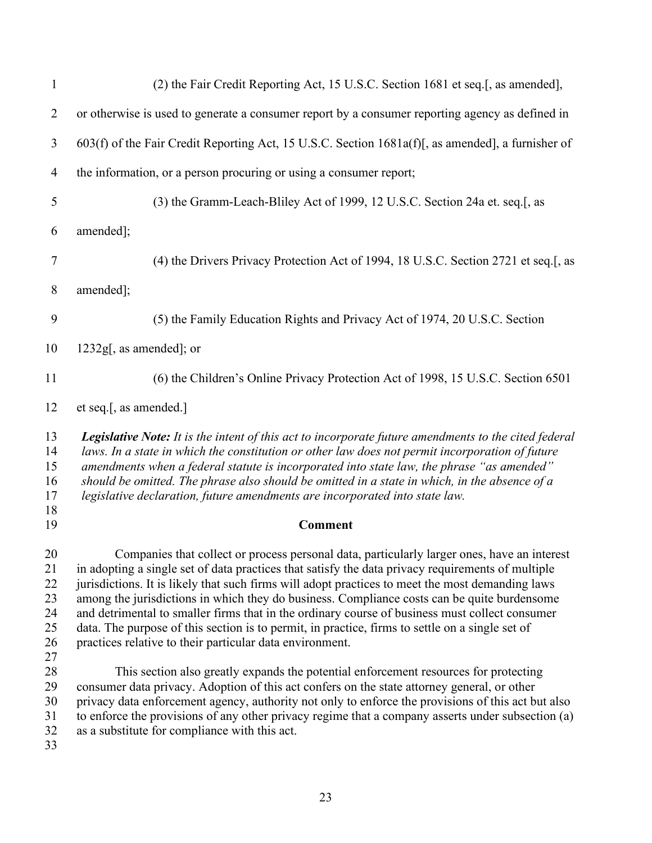| $\mathbf{1}$                                 | (2) the Fair Credit Reporting Act, 15 U.S.C. Section 1681 et seq.[, as amended],                                                                                                                                                                                                                                                                                                                                                                                                                                                                                                                                                                                     |
|----------------------------------------------|----------------------------------------------------------------------------------------------------------------------------------------------------------------------------------------------------------------------------------------------------------------------------------------------------------------------------------------------------------------------------------------------------------------------------------------------------------------------------------------------------------------------------------------------------------------------------------------------------------------------------------------------------------------------|
| $\overline{2}$                               | or otherwise is used to generate a consumer report by a consumer reporting agency as defined in                                                                                                                                                                                                                                                                                                                                                                                                                                                                                                                                                                      |
| 3                                            | 603(f) of the Fair Credit Reporting Act, 15 U.S.C. Section 1681a(f)[, as amended], a furnisher of                                                                                                                                                                                                                                                                                                                                                                                                                                                                                                                                                                    |
| 4                                            | the information, or a person procuring or using a consumer report;                                                                                                                                                                                                                                                                                                                                                                                                                                                                                                                                                                                                   |
| 5                                            | (3) the Gramm-Leach-Bliley Act of 1999, 12 U.S.C. Section 24a et. seq.[, as                                                                                                                                                                                                                                                                                                                                                                                                                                                                                                                                                                                          |
| 6                                            | amended];                                                                                                                                                                                                                                                                                                                                                                                                                                                                                                                                                                                                                                                            |
| 7                                            | (4) the Drivers Privacy Protection Act of 1994, 18 U.S.C. Section 2721 et seq.[, as                                                                                                                                                                                                                                                                                                                                                                                                                                                                                                                                                                                  |
| 8                                            | amended];                                                                                                                                                                                                                                                                                                                                                                                                                                                                                                                                                                                                                                                            |
| 9                                            | (5) the Family Education Rights and Privacy Act of 1974, 20 U.S.C. Section                                                                                                                                                                                                                                                                                                                                                                                                                                                                                                                                                                                           |
| 10                                           | $1232g$ , as amended]; or                                                                                                                                                                                                                                                                                                                                                                                                                                                                                                                                                                                                                                            |
| 11                                           | (6) the Children's Online Privacy Protection Act of 1998, 15 U.S.C. Section 6501                                                                                                                                                                                                                                                                                                                                                                                                                                                                                                                                                                                     |
| 12                                           | et seq.[, as amended.]                                                                                                                                                                                                                                                                                                                                                                                                                                                                                                                                                                                                                                               |
| 13<br>14<br>15<br>16<br>17<br>18             | <b>Legislative Note:</b> It is the intent of this act to incorporate future amendments to the cited federal<br>laws. In a state in which the constitution or other law does not permit incorporation of future<br>amendments when a federal statute is incorporated into state law, the phrase "as amended"<br>should be omitted. The phrase also should be omitted in a state in which, in the absence of a<br>legislative declaration, future amendments are incorporated into state law.                                                                                                                                                                          |
| 19                                           | <b>Comment</b>                                                                                                                                                                                                                                                                                                                                                                                                                                                                                                                                                                                                                                                       |
| 20<br>21<br>22<br>23<br>24<br>25<br>26<br>27 | Companies that collect or process personal data, particularly larger ones, have an interest<br>in adopting a single set of data practices that satisfy the data privacy requirements of multiple<br>jurisdictions. It is likely that such firms will adopt practices to meet the most demanding laws<br>among the jurisdictions in which they do business. Compliance costs can be quite burdensome<br>and detrimental to smaller firms that in the ordinary course of business must collect consumer<br>data. The purpose of this section is to permit, in practice, firms to settle on a single set of<br>practices relative to their particular data environment. |
| 28<br>29<br>30<br>31<br>32<br>33             | This section also greatly expands the potential enforcement resources for protecting<br>consumer data privacy. Adoption of this act confers on the state attorney general, or other<br>privacy data enforcement agency, authority not only to enforce the provisions of this act but also<br>to enforce the provisions of any other privacy regime that a company asserts under subsection (a)<br>as a substitute for compliance with this act.                                                                                                                                                                                                                      |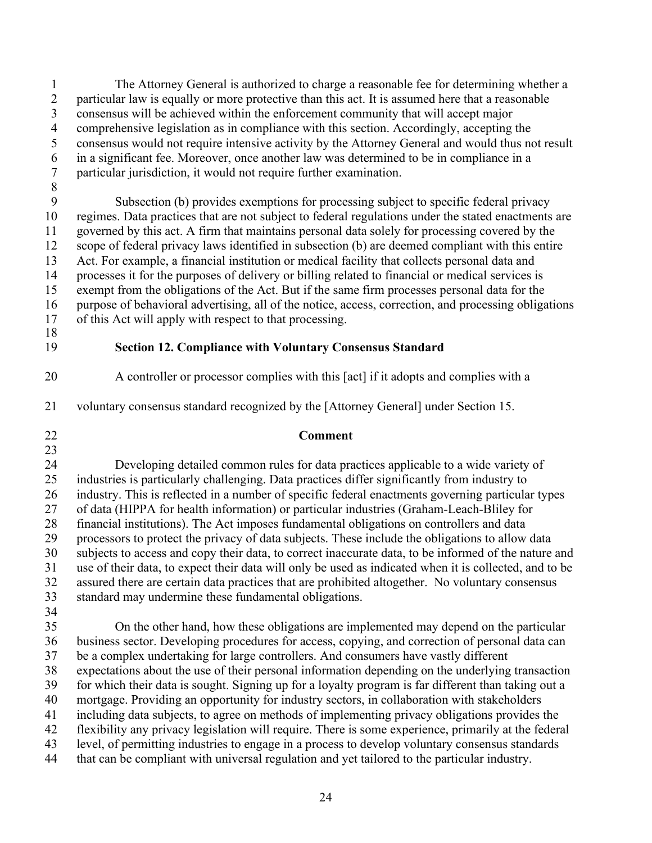5 1 The Attorney General is authorized to charge a reasonable fee for determining whether a 2 particular law is equally or more protective than this act. It is assumed here that a reasonable 3 consensus will be achieved within the enforcement community that will accept major 4 comprehensive legislation as in compliance with this section. Accordingly, accepting the consensus would not require intensive activity by the Attorney General and would thus not result 6 in a significant fee. Moreover, once another law was determined to be in compliance in a 7 particular jurisdiction, it would not require further examination.

 13 Act. For example, a financial institution or medical facility that collects personal data and 17 of this Act will apply with respect to that processing. 18 10 15 8 Subsection (b) provides exemptions for processing subject to specific federal privacy regimes. Data practices that are not subject to federal regulations under the stated enactments are 11 governed by this act. A firm that maintains personal data solely for processing covered by the 12 scope of federal privacy laws identified in subsection (b) are deemed compliant with this entire 14 processes it for the purposes of delivery or billing related to financial or medical services is exempt from the obligations of the Act. But if the same firm processes personal data for the 16 purpose of behavioral advertising, all of the notice, access, correction, and processing obligations

## <span id="page-26-0"></span>19 **Section 12. Compliance with Voluntary Consensus Standard**

- 20 A controller or processor complies with this [act] if it adopts and complies with a
- 21 voluntary consensus standard recognized by the [Attorney General] under Section 15.
- 23

# 22 **Comment**

25 30 24 Developing detailed common rules for data practices applicable to a wide variety of industries is particularly challenging. Data practices differ significantly from industry to 26 industry. This is reflected in a number of specific federal enactments governing particular types 27 of data (HIPPA for health information) or particular industries (Graham-Leach-Bliley for 28 financial institutions). The Act imposes fundamental obligations on controllers and data 29 processors to protect the privacy of data subjects. These include the obligations to allow data subjects to access and copy their data, to correct inaccurate data, to be informed of the nature and 31 use of their data, to expect their data will only be used as indicated when it is collected, and to be 32 assured there are certain data practices that are prohibited altogether. No voluntary consensus 33 standard may undermine these fundamental obligations.

34

35 40 On the other hand, how these obligations are implemented may depend on the particular 36 business sector. Developing procedures for access, copying, and correction of personal data can 37 be a complex undertaking for large controllers. And consumers have vastly different 38 expectations about the use of their personal information depending on the underlying transaction 39 for which their data is sought. Signing up for a loyalty program is far different than taking out a mortgage. Providing an opportunity for industry sectors, in collaboration with stakeholders 41 including data subjects, to agree on methods of implementing privacy obligations provides the 42 flexibility any privacy legislation will require. There is some experience, primarily at the federal 43 level, of permitting industries to engage in a process to develop voluntary consensus standards 44 that can be compliant with universal regulation and yet tailored to the particular industry.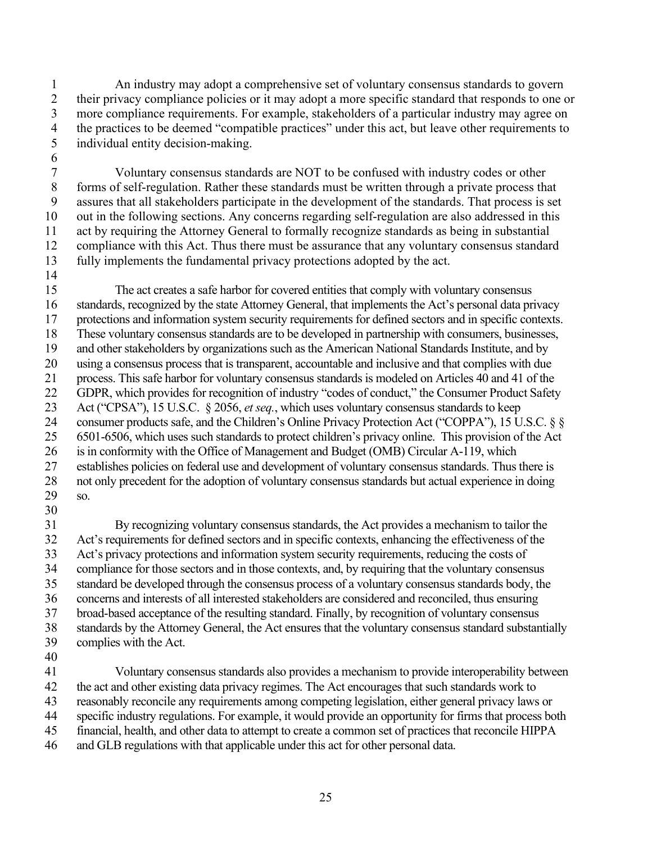1 2 3 4 5 An industry may adopt a comprehensive set of voluntary consensus standards to govern their privacy compliance policies or it may adopt a more specific standard that responds to one or more compliance requirements. For example, stakeholders of a particular industry may agree on the practices to be deemed "compatible practices" under this act, but leave other requirements to individual entity decision-making.

 Voluntary consensus standards are NOT to be confused with industry codes or other 7 8 9 10 11 12 13 14 forms of self-regulation. Rather these standards must be written through a private process that assures that all stakeholders participate in the development of the standards. That process is set out in the following sections. Any concerns regarding self-regulation are also addressed in this act by requiring the Attorney General to formally recognize standards as being in substantial compliance with this Act. Thus there must be assurance that any voluntary consensus standard fully implements the fundamental privacy protections adopted by the act.

 The act creates a safe harbor for covered entities that comply with voluntary consensus standards, recognized by the state Attorney General, that implements the Act's personal data privacy These voluntary consensus standards are to be developed in partnership with consumers, businesses, and other stakeholders by organizations such as the American National Standards Institute, and by using a consensus process that is transparent, accountable and inclusive and that complies with due process. This safe harbor for voluntary consensus standards is modeled on Articles 40 and 41 of the Act ("CPSA"), 15 U.S.C. § 2056, *et seq.*, which uses voluntary consensus standards to keep consumer products safe, and the Children's Online Privacy Protection Act ("COPPA"), 15 U.S.C. § § 6501-6506, which uses such standards to protect children's privacy online. This provision of the Act is in conformity with the Office of Management and Budget (OMB) Circular A-119, which 15 16 17 18 19 20 21 22 23 24 25 26 27 28 29 protections and information system security requirements for defined sectors and in specific contexts. GDPR, which provides for recognition of industry "codes of conduct," the Consumer Product Safety establishes policies on federal use and development of voluntary consensus standards. Thus there is not only precedent for the adoption of voluntary consensus standards but actual experience in doing so.

 By recognizing voluntary consensus standards, the Act provides a mechanism to tailor the Act's privacy protections and information system security requirements, reducing the costs of compliance for those sectors and in those contexts, and, by requiring that the voluntary consensus standard be developed through the consensus process of a voluntary consensus standards body, the concerns and interests of all interested stakeholders are considered and reconciled, thus ensuring standards by the Attorney General, the Act ensures that the voluntary consensus standard substantially 31 32 33 34 35 36 37 38 39 Act's requirements for defined sectors and in specific contexts, enhancing the effectiveness of the broad-based acceptance of the resulting standard. Finally, by recognition of voluntary consensus complies with the Act.

40

30

6

 Voluntary consensus standards also provides a mechanism to provide interoperability between the act and other existing data privacy regimes. The Act encourages that such standards work to specific industry regulations. For example, it would provide an opportunity for firms that process both financial, health, and other data to attempt to create a common set of practices that reconcile HIPPA 41 42 43 44 45 46 reasonably reconcile any requirements among competing legislation, either general privacy laws or and GLB regulations with that applicable under this act for other personal data.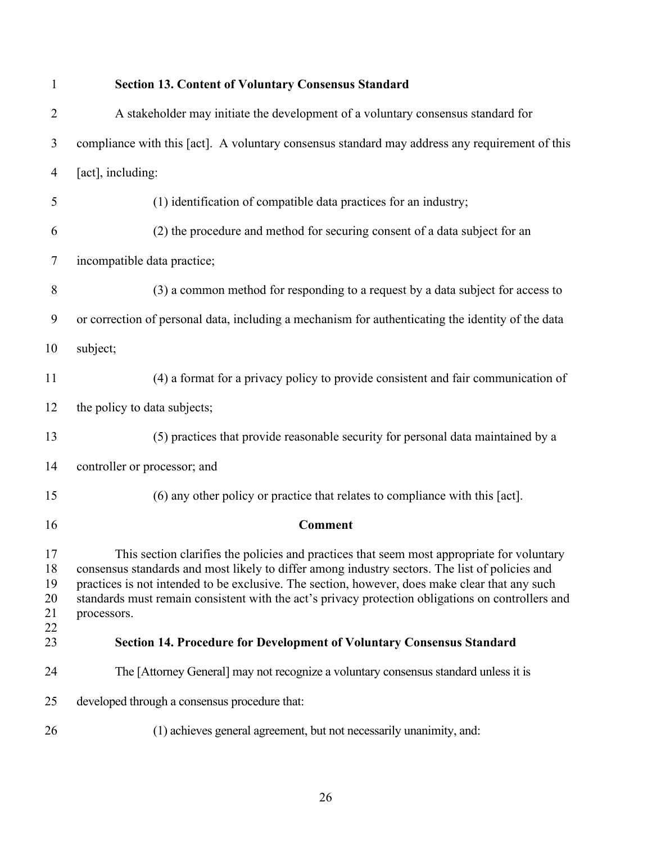<span id="page-28-1"></span><span id="page-28-0"></span>

| $\mathbf{1}$                     | <b>Section 13. Content of Voluntary Consensus Standard</b>                                                                                                                                                                                                                                                                                                                                                         |
|----------------------------------|--------------------------------------------------------------------------------------------------------------------------------------------------------------------------------------------------------------------------------------------------------------------------------------------------------------------------------------------------------------------------------------------------------------------|
| $\overline{2}$                   | A stakeholder may initiate the development of a voluntary consensus standard for                                                                                                                                                                                                                                                                                                                                   |
| 3                                | compliance with this [act]. A voluntary consensus standard may address any requirement of this                                                                                                                                                                                                                                                                                                                     |
| 4                                | [act], including:                                                                                                                                                                                                                                                                                                                                                                                                  |
| 5                                | (1) identification of compatible data practices for an industry;                                                                                                                                                                                                                                                                                                                                                   |
| 6                                | (2) the procedure and method for securing consent of a data subject for an                                                                                                                                                                                                                                                                                                                                         |
| 7                                | incompatible data practice;                                                                                                                                                                                                                                                                                                                                                                                        |
| 8                                | (3) a common method for responding to a request by a data subject for access to                                                                                                                                                                                                                                                                                                                                    |
| 9                                | or correction of personal data, including a mechanism for authenticating the identity of the data                                                                                                                                                                                                                                                                                                                  |
| 10                               | subject;                                                                                                                                                                                                                                                                                                                                                                                                           |
| 11                               | (4) a format for a privacy policy to provide consistent and fair communication of                                                                                                                                                                                                                                                                                                                                  |
| 12                               | the policy to data subjects;                                                                                                                                                                                                                                                                                                                                                                                       |
| 13                               | (5) practices that provide reasonable security for personal data maintained by a                                                                                                                                                                                                                                                                                                                                   |
| 14                               | controller or processor; and                                                                                                                                                                                                                                                                                                                                                                                       |
| 15                               | (6) any other policy or practice that relates to compliance with this [act].                                                                                                                                                                                                                                                                                                                                       |
| 16                               | <b>Comment</b>                                                                                                                                                                                                                                                                                                                                                                                                     |
| 17<br>18<br>19<br>20<br>21<br>22 | This section clarifies the policies and practices that seem most appropriate for voluntary<br>consensus standards and most likely to differ among industry sectors. The list of policies and<br>practices is not intended to be exclusive. The section, however, does make clear that any such<br>standards must remain consistent with the act's privacy protection obligations on controllers and<br>processors. |
| 23                               | Section 14. Procedure for Development of Voluntary Consensus Standard                                                                                                                                                                                                                                                                                                                                              |
| 24                               | The [Attorney General] may not recognize a voluntary consensus standard unless it is                                                                                                                                                                                                                                                                                                                               |
| 25                               | developed through a consensus procedure that:                                                                                                                                                                                                                                                                                                                                                                      |
| 26                               | (1) achieves general agreement, but not necessarily unanimity, and:                                                                                                                                                                                                                                                                                                                                                |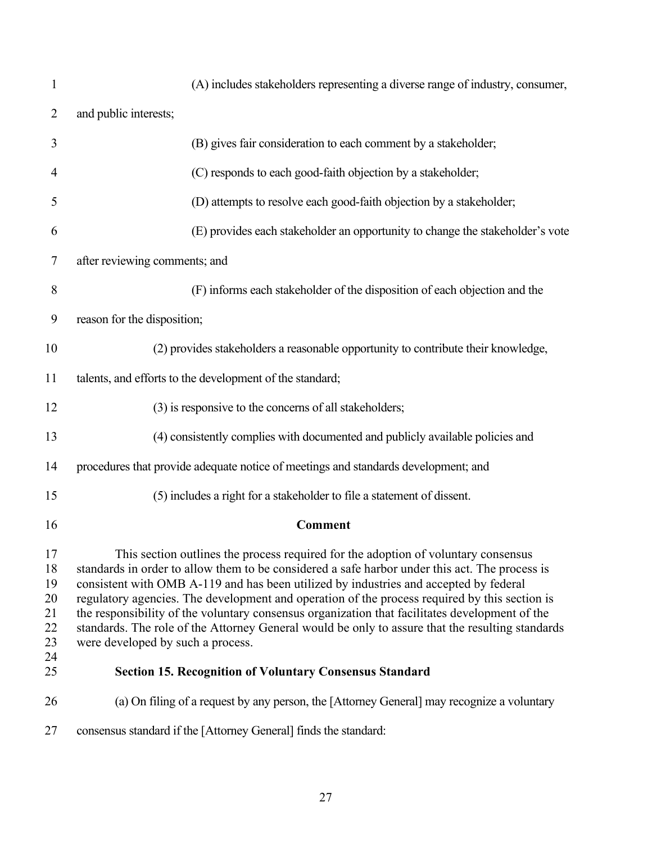<span id="page-29-0"></span>

| $\mathbf{1}$                                 | (A) includes stakeholders representing a diverse range of industry, consumer,                                                                                                                                                                                                                                                                                                                                                                                                                                                                                                                                             |
|----------------------------------------------|---------------------------------------------------------------------------------------------------------------------------------------------------------------------------------------------------------------------------------------------------------------------------------------------------------------------------------------------------------------------------------------------------------------------------------------------------------------------------------------------------------------------------------------------------------------------------------------------------------------------------|
| $\overline{2}$                               | and public interests;                                                                                                                                                                                                                                                                                                                                                                                                                                                                                                                                                                                                     |
| 3                                            | (B) gives fair consideration to each comment by a stakeholder;                                                                                                                                                                                                                                                                                                                                                                                                                                                                                                                                                            |
| 4                                            | (C) responds to each good-faith objection by a stakeholder;                                                                                                                                                                                                                                                                                                                                                                                                                                                                                                                                                               |
| 5                                            | (D) attempts to resolve each good-faith objection by a stakeholder;                                                                                                                                                                                                                                                                                                                                                                                                                                                                                                                                                       |
| 6                                            | (E) provides each stakeholder an opportunity to change the stakeholder's vote                                                                                                                                                                                                                                                                                                                                                                                                                                                                                                                                             |
| 7                                            | after reviewing comments; and                                                                                                                                                                                                                                                                                                                                                                                                                                                                                                                                                                                             |
| 8                                            | (F) informs each stakeholder of the disposition of each objection and the                                                                                                                                                                                                                                                                                                                                                                                                                                                                                                                                                 |
| 9                                            | reason for the disposition;                                                                                                                                                                                                                                                                                                                                                                                                                                                                                                                                                                                               |
| 10                                           | (2) provides stakeholders a reasonable opportunity to contribute their knowledge,                                                                                                                                                                                                                                                                                                                                                                                                                                                                                                                                         |
| 11                                           | talents, and efforts to the development of the standard;                                                                                                                                                                                                                                                                                                                                                                                                                                                                                                                                                                  |
| 12                                           | (3) is responsive to the concerns of all stakeholders;                                                                                                                                                                                                                                                                                                                                                                                                                                                                                                                                                                    |
| 13                                           | (4) consistently complies with documented and publicly available policies and                                                                                                                                                                                                                                                                                                                                                                                                                                                                                                                                             |
| 14                                           | procedures that provide adequate notice of meetings and standards development; and                                                                                                                                                                                                                                                                                                                                                                                                                                                                                                                                        |
| 15                                           | (5) includes a right for a stakeholder to file a statement of dissent.                                                                                                                                                                                                                                                                                                                                                                                                                                                                                                                                                    |
| 16                                           | Comment                                                                                                                                                                                                                                                                                                                                                                                                                                                                                                                                                                                                                   |
| 17<br>18<br>19<br>20<br>21<br>22<br>23<br>24 | This section outlines the process required for the adoption of voluntary consensus<br>standards in order to allow them to be considered a safe harbor under this act. The process is<br>consistent with OMB A-119 and has been utilized by industries and accepted by federal<br>regulatory agencies. The development and operation of the process required by this section is<br>the responsibility of the voluntary consensus organization that facilitates development of the<br>standards. The role of the Attorney General would be only to assure that the resulting standards<br>were developed by such a process. |
| 25                                           | <b>Section 15. Recognition of Voluntary Consensus Standard</b>                                                                                                                                                                                                                                                                                                                                                                                                                                                                                                                                                            |
| 26                                           | (a) On filing of a request by any person, the [Attorney General] may recognize a voluntary                                                                                                                                                                                                                                                                                                                                                                                                                                                                                                                                |
| 27                                           | consensus standard if the [Attorney General] finds the standard:                                                                                                                                                                                                                                                                                                                                                                                                                                                                                                                                                          |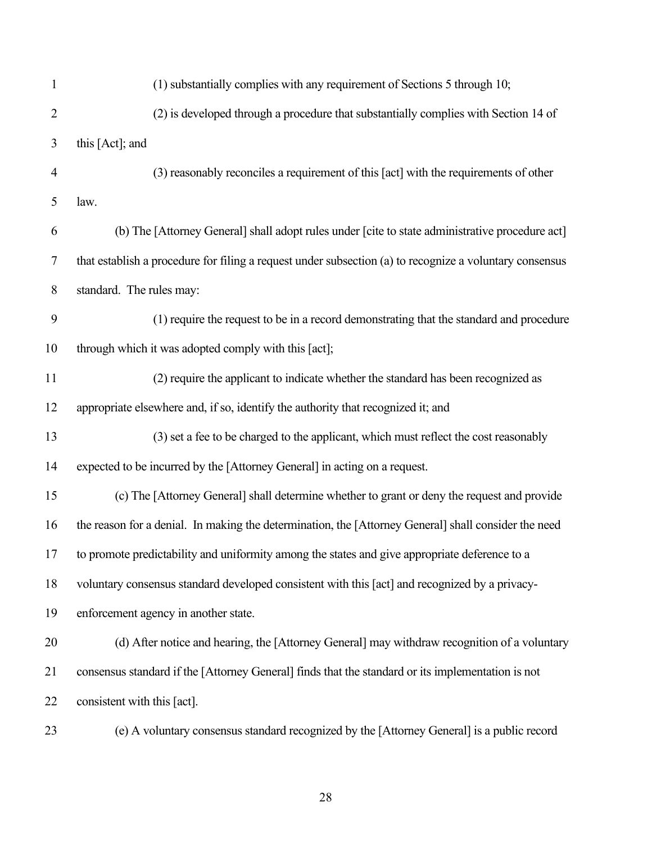| 1              | (1) substantially complies with any requirement of Sections 5 through 10;                               |
|----------------|---------------------------------------------------------------------------------------------------------|
| $\overline{2}$ | (2) is developed through a procedure that substantially complies with Section 14 of                     |
| 3              | this [Act]; and                                                                                         |
| $\overline{4}$ | (3) reasonably reconciles a requirement of this [act] with the requirements of other                    |
| 5              | law.                                                                                                    |
| 6              | (b) The [Attorney General] shall adopt rules under [cite to state administrative procedure act]         |
| 7              | that establish a procedure for filing a request under subsection (a) to recognize a voluntary consensus |
| 8              | standard. The rules may:                                                                                |
| 9              | (1) require the request to be in a record demonstrating that the standard and procedure                 |
| 10             | through which it was adopted comply with this [act];                                                    |
| 11             | (2) require the applicant to indicate whether the standard has been recognized as                       |
| 12             | appropriate elsewhere and, if so, identify the authority that recognized it; and                        |
| 13             | (3) set a fee to be charged to the applicant, which must reflect the cost reasonably                    |
| 14             | expected to be incurred by the [Attorney General] in acting on a request.                               |
| 15             | (c) The [Attorney General] shall determine whether to grant or deny the request and provide             |
| 16             | the reason for a denial. In making the determination, the [Attorney General] shall consider the need    |
| 17             | to promote predictability and uniformity among the states and give appropriate deference to a           |
| 18             | voluntary consensus standard developed consistent with this [act] and recognized by a privacy-          |
| 19             | enforcement agency in another state.                                                                    |
| 20             | (d) After notice and hearing, the [Attorney General] may withdraw recognition of a voluntary            |
| 21             | consensus standard if the [Attorney General] finds that the standard or its implementation is not       |
| 22             | consistent with this [act].                                                                             |
| 23             | (e) A voluntary consensus standard recognized by the [Attorney General] is a public record              |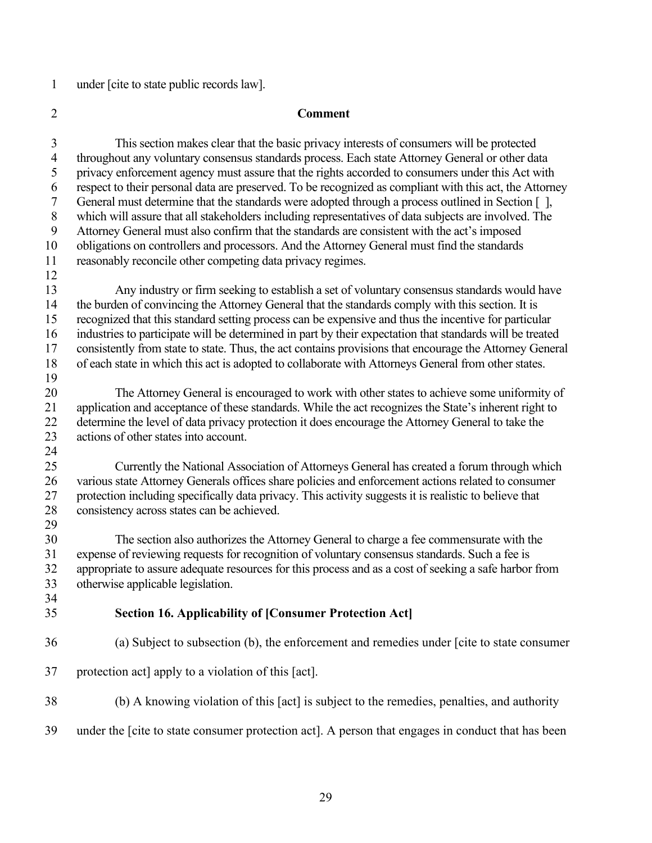1 under [cite to state public records law].

#### 2 **Comment**

<span id="page-31-0"></span> 27 protection including specifically data privacy. This activity suggests it is realistic to believe that 3 This section makes clear that the basic privacy interests of consumers will be protected 4 throughout any voluntary consensus standards process. Each state Attorney General or other data 5 privacy enforcement agency must assure that the rights accorded to consumers under this Act with 6 respect to their personal data are preserved. To be recognized as compliant with this act, the Attorney General must determine that the standards were adopted through a process outlined in Section  $\lceil \cdot \rceil$ , 8 which will assure that all stakeholders including representatives of data subjects are involved. The 9 Attorney General must also confirm that the standards are consistent with the act's imposed 10 obligations on controllers and processors. And the Attorney General must find the standards 11 reasonably reconcile other competing data privacy regimes. 12 13 Any industry or firm seeking to establish a set of voluntary consensus standards would have 14 the burden of convincing the Attorney General that the standards comply with this section. It is 15 recognized that this standard setting process can be expensive and thus the incentive for particular 16 industries to participate will be determined in part by their expectation that standards will be treated 17 consistently from state to state. Thus, the act contains provisions that encourage the Attorney General 18 of each state in which this act is adopted to collaborate with Attorneys General from other states. 19 20 The Attorney General is encouraged to work with other states to achieve some uniformity of 21 application and acceptance of these standards. While the act recognizes the State's inherent right to 22 determine the level of data privacy protection it does encourage the Attorney General to take the 23 actions of other states into account. 24 25 Currently the National Association of Attorneys General has created a forum through which 26 various state Attorney Generals offices share policies and enforcement actions related to consumer 28 consistency across states can be achieved. 29 30 The section also authorizes the Attorney General to charge a fee commensurate with the 31 expense of reviewing requests for recognition of voluntary consensus standards. Such a fee is 32 appropriate to assure adequate resources for this process and as a cost of seeking a safe harbor from 33 otherwise applicable legislation. 34 35 **Section 16. Applicability of [Consumer Protection Act]**  36 (a) Subject to subsection (b), the enforcement and remedies under [cite to state consumer 37 protection act] apply to a violation of this [act]. 38 (b) A knowing violation of this [act] is subject to the remedies, penalties, and authority 39 under the [cite to state consumer protection act]. A person that engages in conduct that has been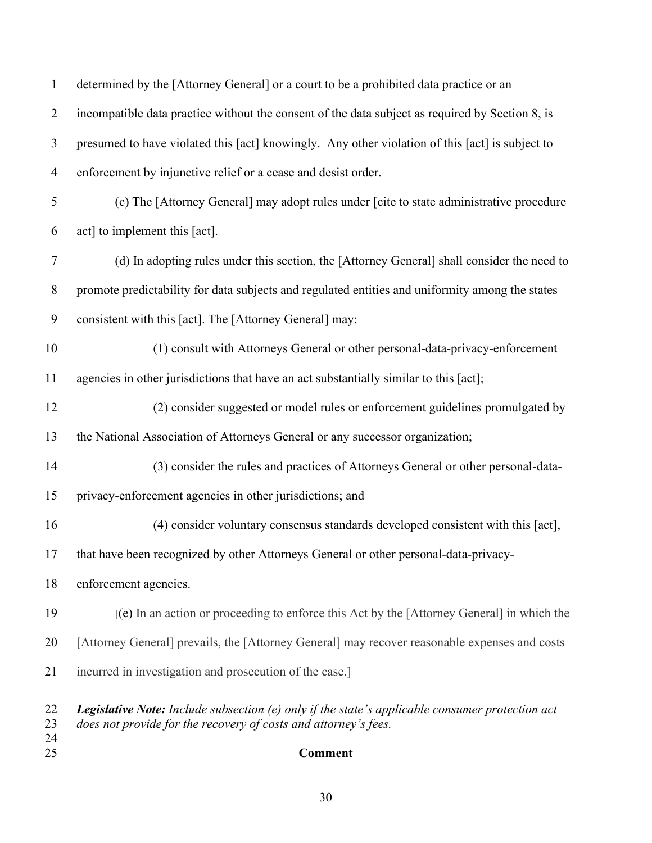| 24<br>25       | <b>Comment</b>                                                                                                                                                            |
|----------------|---------------------------------------------------------------------------------------------------------------------------------------------------------------------------|
| 22<br>23       | <b>Legislative Note:</b> Include subsection (e) only if the state's applicable consumer protection act<br>does not provide for the recovery of costs and attorney's fees. |
| 21             | incurred in investigation and prosecution of the case.]                                                                                                                   |
| 20             | [Attorney General] prevails, the [Attorney General] may recover reasonable expenses and costs                                                                             |
| 19             | [(e) In an action or proceeding to enforce this Act by the [Attorney General] in which the                                                                                |
| 18             | enforcement agencies.                                                                                                                                                     |
| 17             | that have been recognized by other Attorneys General or other personal-data-privacy-                                                                                      |
| 16             | (4) consider voluntary consensus standards developed consistent with this [act],                                                                                          |
| 15             | privacy-enforcement agencies in other jurisdictions; and                                                                                                                  |
| 14             | (3) consider the rules and practices of Attorneys General or other personal-data-                                                                                         |
| 13             | the National Association of Attorneys General or any successor organization;                                                                                              |
| 12             | (2) consider suggested or model rules or enforcement guidelines promulgated by                                                                                            |
| 11             | agencies in other jurisdictions that have an act substantially similar to this [act];                                                                                     |
| 10             | (1) consult with Attorneys General or other personal-data-privacy-enforcement                                                                                             |
| 9              | consistent with this [act]. The [Attorney General] may:                                                                                                                   |
| 8              | promote predictability for data subjects and regulated entities and uniformity among the states                                                                           |
| 7              | (d) In adopting rules under this section, the [Attorney General] shall consider the need to                                                                               |
| 6              | act] to implement this [act].                                                                                                                                             |
| 5              | (c) The [Attorney General] may adopt rules under [cite to state administrative procedure                                                                                  |
| $\overline{4}$ | enforcement by injunctive relief or a cease and desist order.                                                                                                             |
| 3              | presumed to have violated this [act] knowingly. Any other violation of this [act] is subject to                                                                           |
| $\overline{2}$ | incompatible data practice without the consent of the data subject as required by Section 8, is                                                                           |
| $\mathbf{1}$   | determined by the [Attorney General] or a court to be a prohibited data practice or an                                                                                    |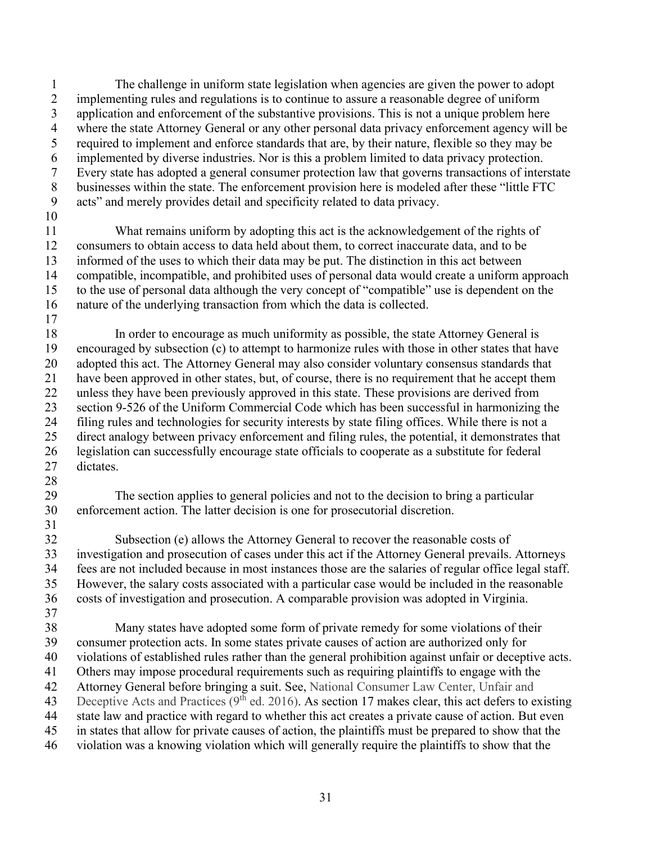1 2 3 4 5 6 7 8 9 10 The challenge in uniform state legislation when agencies are given the power to adopt implementing rules and regulations is to continue to assure a reasonable degree of uniform application and enforcement of the substantive provisions. This is not a unique problem here where the state Attorney General or any other personal data privacy enforcement agency will be required to implement and enforce standards that are, by their nature, flexible so they may be implemented by diverse industries. Nor is this a problem limited to data privacy protection. Every state has adopted a general consumer protection law that governs transactions of interstate businesses within the state. The enforcement provision here is modeled after these "little FTC acts" and merely provides detail and specificity related to data privacy.

 What remains uniform by adopting this act is the acknowledgement of the rights of 11 12 13 14 15 16 consumers to obtain access to data held about them, to correct inaccurate data, and to be informed of the uses to which their data may be put. The distinction in this act between compatible, incompatible, and prohibited uses of personal data would create a uniform approach to the use of personal data although the very concept of "compatible" use is dependent on the nature of the underlying transaction from which the data is collected.

- 18 19 20 21 22 23 24 25 26 27 In order to encourage as much uniformity as possible, the state Attorney General is encouraged by subsection (c) to attempt to harmonize rules with those in other states that have adopted this act. The Attorney General may also consider voluntary consensus standards that have been approved in other states, but, of course, there is no requirement that he accept them unless they have been previously approved in this state. These provisions are derived from section 9-526 of the Uniform Commercial Code which has been successful in harmonizing the filing rules and technologies for security interests by state filing offices. While there is not a direct analogy between privacy enforcement and filing rules, the potential, it demonstrates that legislation can successfully encourage state officials to cooperate as a substitute for federal dictates.
- 28

31

17

29 30 The section applies to general policies and not to the decision to bring a particular enforcement action. The latter decision is one for prosecutorial discretion.

32 33 34 35 36 37 Subsection (e) allows the Attorney General to recover the reasonable costs of investigation and prosecution of cases under this act if the Attorney General prevails. Attorneys fees are not included because in most instances those are the salaries of regular office legal staff. However, the salary costs associated with a particular case would be included in the reasonable costs of investigation and prosecution. A comparable provision was adopted in Virginia.

38 39 40 41 42 43 44 45 46 Many states have adopted some form of private remedy for some violations of their consumer protection acts. In some states private causes of action are authorized only for violations of established rules rather than the general prohibition against unfair or deceptive acts. Others may impose procedural requirements such as requiring plaintiffs to engage with the Attorney General before bringing a suit. See, National Consumer Law Center, Unfair and Deceptive Acts and Practices ( $9<sup>th</sup>$  ed. 2016). As section 17 makes clear, this act defers to existing state law and practice with regard to whether this act creates a private cause of action. But even in states that allow for private causes of action, the plaintiffs must be prepared to show that the violation was a knowing violation which will generally require the plaintiffs to show that the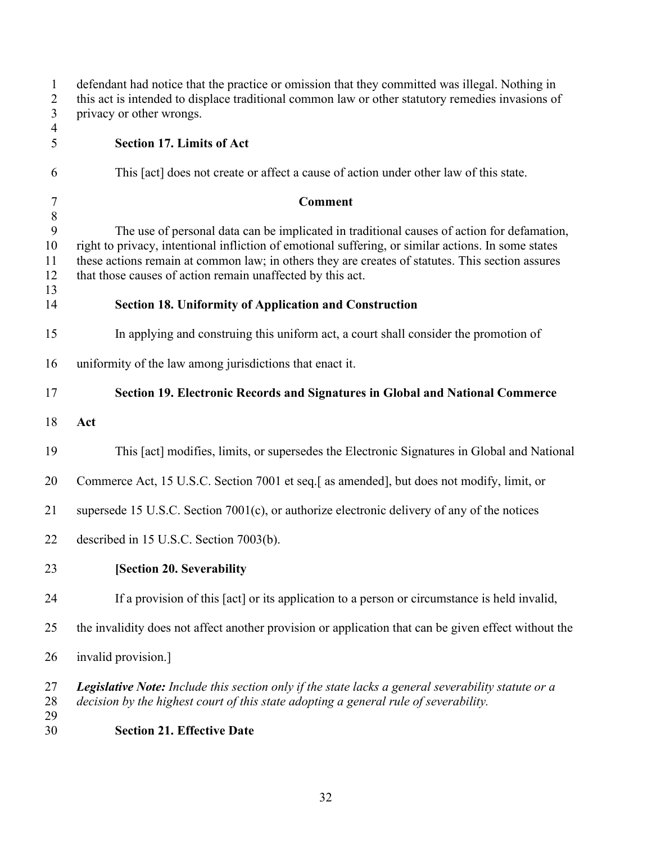<span id="page-34-4"></span><span id="page-34-3"></span><span id="page-34-2"></span><span id="page-34-1"></span><span id="page-34-0"></span>

| $\mathbf{1}$<br>$\overline{c}$<br>$\overline{3}$ | defendant had notice that the practice or omission that they committed was illegal. Nothing in<br>this act is intended to displace traditional common law or other statutory remedies invasions of<br>privacy or other wrongs.                                                                                                                                      |
|--------------------------------------------------|---------------------------------------------------------------------------------------------------------------------------------------------------------------------------------------------------------------------------------------------------------------------------------------------------------------------------------------------------------------------|
| 4<br>5                                           | <b>Section 17. Limits of Act</b>                                                                                                                                                                                                                                                                                                                                    |
| 6                                                | This [act] does not create or affect a cause of action under other law of this state.                                                                                                                                                                                                                                                                               |
| $\tau$<br>$\,8\,$                                | <b>Comment</b>                                                                                                                                                                                                                                                                                                                                                      |
| $\mathbf{9}$<br>10<br>11<br>12<br>13             | The use of personal data can be implicated in traditional causes of action for defamation,<br>right to privacy, intentional infliction of emotional suffering, or similar actions. In some states<br>these actions remain at common law; in others they are creates of statutes. This section assures<br>that those causes of action remain unaffected by this act. |
| 14                                               | <b>Section 18. Uniformity of Application and Construction</b>                                                                                                                                                                                                                                                                                                       |
| 15                                               | In applying and construing this uniform act, a court shall consider the promotion of                                                                                                                                                                                                                                                                                |
| 16                                               | uniformity of the law among jurisdictions that enact it.                                                                                                                                                                                                                                                                                                            |
| 17                                               | Section 19. Electronic Records and Signatures in Global and National Commerce                                                                                                                                                                                                                                                                                       |
| 18                                               | Act                                                                                                                                                                                                                                                                                                                                                                 |
| 19                                               | This [act] modifies, limits, or supersedes the Electronic Signatures in Global and National                                                                                                                                                                                                                                                                         |
| 20                                               | Commerce Act, 15 U.S.C. Section 7001 et seq.[ as amended], but does not modify, limit, or                                                                                                                                                                                                                                                                           |
| 21                                               | supersede 15 U.S.C. Section 7001(c), or authorize electronic delivery of any of the notices                                                                                                                                                                                                                                                                         |
| 22                                               | described in 15 U.S.C. Section 7003(b).                                                                                                                                                                                                                                                                                                                             |
| 23                                               | [Section 20. Severability                                                                                                                                                                                                                                                                                                                                           |
| 24                                               | If a provision of this [act] or its application to a person or circumstance is held invalid,                                                                                                                                                                                                                                                                        |
| 25                                               | the invalidity does not affect another provision or application that can be given effect without the                                                                                                                                                                                                                                                                |
| 26                                               | invalid provision.]                                                                                                                                                                                                                                                                                                                                                 |
| 27<br>28<br>29                                   | Legislative Note: Include this section only if the state lacks a general severability statute or a<br>decision by the highest court of this state adopting a general rule of severability.                                                                                                                                                                          |
| 30                                               | <b>Section 21. Effective Date</b>                                                                                                                                                                                                                                                                                                                                   |